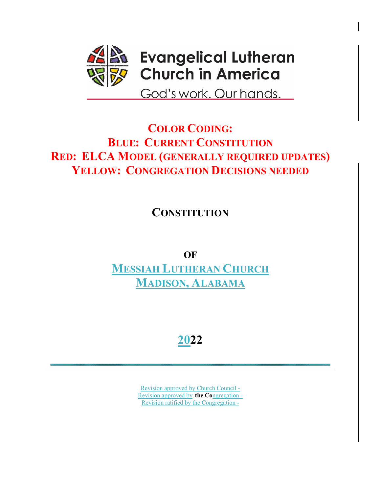

# **COLOR CODING: BLUE: CURRENT CONSTITUTION RED: ELCA MODEL (GENERALLY REQUIRED UPDATES) YELLOW: CONGREGATION DECISIONS NEEDED**

**CONSTITUTION**

**OF MESSIAH LUTHERAN CHURCH MADISON, ALABAMA**

**2022**

Revision approved by Church Council - Revision approved by **the Co**ngregation - Revision ratified by the Congregation -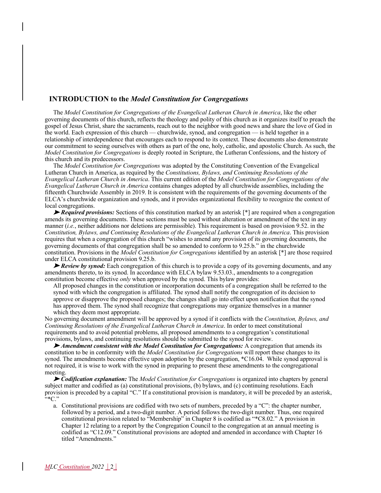## **INTRODUCTION to the** *Model Constitution for Congregations*

The *Model Constitution for Congregations of the Evangelical Lutheran Church in America*, like the other governing documents of this church, reflects the theology and polity of this church as it organizes itself to preach the gospel of Jesus Christ, share the sacraments, reach out to the neighbor with good news and share the love of God in the world. Each expression of this church — churchwide, synod, and congregation — is held together in a relationship of interdependence that encourages each to respond to its context. These documents also demonstrate our commitment to seeing ourselves with others as part of the one, holy, catholic, and apostolic Church. As such, the *Model Constitution for Congregations* is deeply rooted in Scripture, the Lutheran Confessions, and the history of this church and its predecessors.

The *Model Constitution for Congregations* was adopted by the Constituting Convention of the Evangelical Lutheran Church in America, as required by the *Constitutions, Bylaws, and Continuing Resolutions of the Evangelical Lutheran Church in America*. This current edition of the *Model Constitution for Congregations of the Evangelical Lutheran Church in America* contains changes adopted by all churchwide assemblies, including the fifteenth Churchwide Assembly in 2019. It is consistent with the requirements of the governing documents of the ELCA's churchwide organization and synods, and it provides organizational flexibility to recognize the context of local congregations.

➤ *Required provisions:* Sections of this constitution marked by an asterisk [\*] are required when a congregation amends its governing documents. These sections must be used without alteration or amendment of the text in any manner (*i.e.*, neither additions nor deletions are permissible). This requirement is based on provision 9.52. in the *Constitution, Bylaws, and Continuing Resolutions of the Evangelical Lutheran Church in America*. This provision requires that when a congregation of this church "wishes to amend any provision of its governing documents, the governing documents of that congregation shall be so amended to conform to 9.25.b." in the churchwide constitution. Provisions in the *Model Constitution for Congregations* identified by an asterisk [\*] are those required under ELCA constitutional provision 9.25.b.

► *Review by synod:* Each congregation of this church is to provide a copy of its governing documents, and any amendments thereto, to its synod. In accordance with ELCA bylaw 9.53.03., amendments to a congregation constitution become effective *only* when approved by the synod. This bylaw provides:

All proposed changes in the constitution or incorporation documents of a congregation shall be referred to the synod with which the congregation is affiliated. The synod shall notify the congregation of its decision to approve or disapprove the proposed changes; the changes shall go into effect upon notification that the synod has approved them. The synod shall recognize that congregations may organize themselves in a manner which they deem most appropriate.

No governing document amendment will be approved by a synod if it conflicts with the *Constitution, Bylaws, and Continuing Resolutions of the Evangelical Lutheran Church in America*. In order to meet constitutional requirements and to avoid potential problems, all proposed amendments to a congregation's constitutional provisions, bylaws, and continuing resolutions should be submitted to the synod for review.

➤ *Amendment consistent with the Model Constitution for Congregations:* A congregation that amends its constitution to be in conformity with the *Model Constitution for Congregations* will report these changes to its synod. The amendments become effective upon adoption by the congregation, \*C16.04. While synod approval is not required, it is wise to work with the synod in preparing to present these amendments to the congregational meeting.

➤ *Codification explanation:* The *Model Constitution for Congregations* is organized into chapters by general subject matter and codified as (a) constitutional provisions, (b) bylaws, and (c) continuing resolutions. Each provision is preceded by a capital "C." If a constitutional provision is mandatory, it will be preceded by an asterisk, "\*C."

a. Constitutional provisions are codified with two sets of numbers, preceded by a "C": the chapter number, followed by a period, and a two-digit number. A period follows the two-digit number. Thus, one required constitutional provision related to "Membership" in Chapter 8 is codified as "\*C8.02." A provision in Chapter 12 relating to a report by the Congregation Council to the congregation at an annual meeting is codified as "C12.09." Constitutional provisions are adopted and amended in accordance with Chapter 16 titled "Amendments."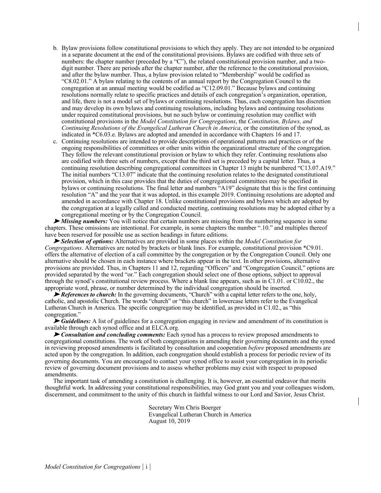- b. Bylaw provisions follow constitutional provisions to which they apply. They are not intended to be organized in a separate document at the end of the constitutional provisions. Bylaws are codified with three sets of numbers: the chapter number (preceded by a "C"), the related constitutional provision number, and a twodigit number. There are periods after the chapter number, after the reference to the constitutional provision, and after the bylaw number. Thus, a bylaw provision related to "Membership" would be codified as "C8.02.01." A bylaw relating to the contents of an annual report by the Congregation Council to the congregation at an annual meeting would be codified as "C12.09.01." Because bylaws and continuing resolutions normally relate to specific practices and details of each congregation's organization, operation, and life, there is not a model set of bylaws or continuing resolutions. Thus, each congregation has discretion and may develop its own bylaws and continuing resolutions, including bylaws and continuing resolutions under required constitutional provisions, but no such bylaw or continuing resolution may conflict with constitutional provisions in the *Model Constitution for Congregations*, the *Constitution, Bylaws, and Continuing Resolutions of the Evangelical Lutheran Church in America*, or the constitution of the synod, as indicated in \*C6.03.e. Bylaws are adopted and amended in accordance with Chapters 16 and 17.
- c. Continuing resolutions are intended to provide descriptions of operational patterns and practices or of the ongoing responsibilities of committees or other units within the organizational structure of the congregation. They follow the relevant constitutional provision or bylaw to which they refer. Continuing resolutions also are codified with three sets of numbers, except that the third set is preceded by a capital letter. Thus, a continuing resolution describing congregational committees in Chapter 13 might be numbered "C13.07.A19." The initial numbers "C13.07" indicate that the continuing resolution relates to the designated constitutional provision, which in this case provides that the duties of congregational committees may be specified in bylaws or continuing resolutions. The final letter and numbers "A19" designate that this is the first continuing resolution "A" and the year that it was adopted, in this example 2019. Continuing resolutions are adopted and amended in accordance with Chapter 18. Unlike constitutional provisions and bylaws which are adopted by the congregation at a legally called and conducted meeting, continuing resolutions may be adopted either by a congregational meeting or by the Congregation Council.

➤ *Missing numbers:* You will notice that certain numbers are missing from the numbering sequence in some chapters. These omissions are intentional. For example, in some chapters the number ".10." and multiples thereof have been reserved for possible use as section headings in future editions.

➤ *Selection of options:* Alternatives are provided in some places within the *Model Constitution for Congregations*. Alternatives are noted by brackets or blank lines. For example, constitutional provision \*C9.01. offers the alternative of election of a call committee by the congregation or by the Congregation Council. Only one alternative should be chosen in each instance where brackets appear in the text. In other provisions, alternative provisions are provided. Thus, in Chapters 11 and 12, regarding "Officers" and "Congregation Council," options are provided separated by the word "or." Each congregation should select one of those options, subject to approval through the synod's constitutional review process. Where a blank line appears, such as in C1.01. or C10.02., the appropriate word, phrase, or number determined by the individual congregation should be inserted.

► *References to church:* In the governing documents, "Church" with a capital letter refers to the one, holy, catholic, and apostolic Church. The words "church" or "this church" in lowercase letters refer to the Evangelical Lutheran Church in America. The specific congregation may be identified, as provided in C1.02., as "this congregation."

► *Guidelines:* A list of guidelines for a congregation engaging in review and amendment of its constitution is available through each synod office and at ELCA.org.

➤ *Consultation and concluding comments:* Each synod has a process to review proposed amendments to congregational constitutions. The work of both congregations in amending their governing documents and the synod in reviewing proposed amendments is facilitated by consultation and cooperation *before* proposed amendments are acted upon by the congregation. In addition, each congregation should establish a process for periodic review of its governing documents. You are encouraged to contact your synod office to assist your congregation in its periodic review of governing document provisions and to assess whether problems may exist with respect to proposed amendments.

The important task of amending a constitution is challenging. It is, however, an essential endeavor that merits thoughtful work. In addressing your constitutional responsibilities, may God grant you and your colleagues wisdom, discernment, and commitment to the unity of this church in faithful witness to our Lord and Savior, Jesus Christ.

> Secretary Wm Chris Boerger Evangelical Lutheran Church in America August 10, 2019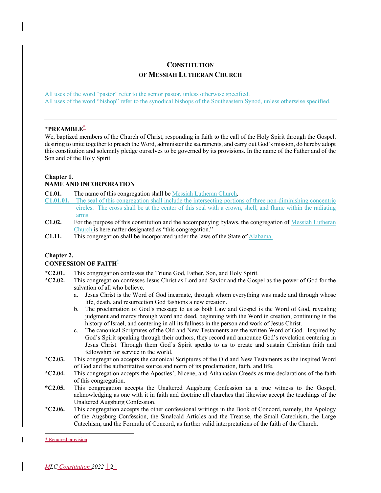# **CONSTITUTION OF MESSIAH LUTHERAN CHURCH**

All uses of the word "pastor" refer to the senior pastor, unless otherwise specified. All uses of the word "bishop" refer to the synodical bishops of the Southeastern Synod, unless otherwise specified.

#### **\*PREAMBLE**\*

We, baptized members of the Church of Christ, responding in faith to the call of the Holy Spirit through the Gospel, desiring to unite together to preach the Word, administer the sacraments, and carry out God's mission, do hereby adopt this constitution and solemnly pledge ourselves to be governed by its provisions. In the name of the Father and of the Son and of the Holy Spirit.

#### **Chapter 1.**

#### **NAME AND INCORPORATION**

**C1.01.** The name of this congregation shall be Messiah Lutheran Church.

- **C1.01.01.** The seal of this congregation shall include the intersecting portions of three non-diminishing concentric circles. The cross shall be at the center of this seal with a crown, shell, and flame within the radiating arms.
- **C1.02.** For the purpose of this constitution and the accompanying bylaws, the congregation of Messiah Lutheran Church is hereinafter designated as "this congregation."
- **C1.11.** This congregation shall be incorporated under the laws of the State of Alabama.

#### **Chapter 2.**

### **CONFESSION OF FAITH**\*

- **\*C2.01.** This congregation confesses the Triune God, Father, Son, and Holy Spirit.
- **\*C2.02.** This congregation confesses Jesus Christ as Lord and Savior and the Gospel as the power of God for the salvation of all who believe.
	- a. Jesus Christ is the Word of God incarnate, through whom everything was made and through whose life, death, and resurrection God fashions a new creation.
	- b. The proclamation of God's message to us as both Law and Gospel is the Word of God, revealing judgment and mercy through word and deed, beginning with the Word in creation, continuing in the history of Israel, and centering in all its fullness in the person and work of Jesus Christ.
	- c. The canonical Scriptures of the Old and New Testaments are the written Word of God. Inspired by God's Spirit speaking through their authors, they record and announce God's revelation centering in Jesus Christ. Through them God's Spirit speaks to us to create and sustain Christian faith and fellowship for service in the world.
- **\*C2.03.** This congregation accepts the canonical Scriptures of the Old and New Testaments as the inspired Word of God and the authoritative source and norm of its proclamation, faith, and life.
- **\*C2.04.** This congregation accepts the Apostles', Nicene, and Athanasian Creeds as true declarations of the faith of this congregation.
- **\*C2.05.** This congregation accepts the Unaltered Augsburg Confession as a true witness to the Gospel, acknowledging as one with it in faith and doctrine all churches that likewise accept the teachings of the Unaltered Augsburg Confession.
- **\*C2.06.** This congregation accepts the other confessional writings in the Book of Concord, namely, the Apology of the Augsburg Confession, the Smalcald Articles and the Treatise, the Small Catechism, the Large Catechism, and the Formula of Concord, as further valid interpretations of the faith of the Church.

<sup>\*</sup> Required provision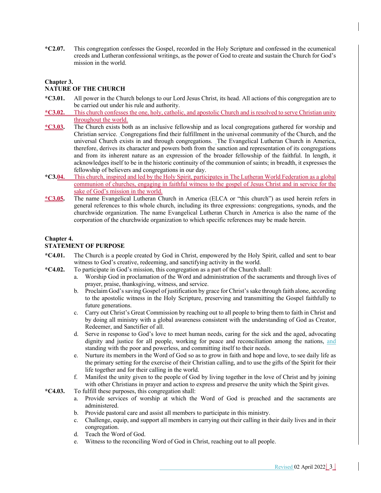**\*C2.07.** This congregation confesses the Gospel, recorded in the Holy Scripture and confessed in the ecumenical creeds and Lutheran confessional writings, as the power of God to create and sustain the Church for God's mission in the world.

#### **Chapter 3.**

# **NATURE OF THE CHURCH**

- **\*C3.01.** All power in the Church belongs to our Lord Jesus Christ, its head. All actions of this congregation are to be carried out under his rule and authority.
- **\*C3.02.** This church confesses the one, holy, catholic, and apostolic Church and is resolved to serve Christian unity throughout the world.
- **\*C3.03.** The Church exists both as an inclusive fellowship and as local congregations gathered for worship and Christian service. Congregations find their fulfillment in the universal community of the Church, and the universal Church exists in and through congregations. The Evangelical Lutheran Church in America, therefore, derives its character and powers both from the sanction and representation of its congregations and from its inherent nature as an expression of the broader fellowship of the faithful. In length, it acknowledges itself to be in the historic continuity of the communion of saints; in breadth, it expresses the fellowship of believers and congregations in our day.
- **\*C3.04.** This church, inspired and led by the Holy Spirit, participates in The Lutheran World Federation as a global communion of churches, engaging in faithful witness to the gospel of Jesus Christ and in service for the sake of God's mission in the world.
- **\*C3.05.** The name Evangelical Lutheran Church in America (ELCA or "this church") as used herein refers in general references to this whole church, including its three expressions: congregations, synods, and the churchwide organization. The name Evangelical Lutheran Church in America is also the name of the corporation of the churchwide organization to which specific references may be made herein.

#### **Chapter 4.**

#### **STATEMENT OF PURPOSE**

- **\*C4.01.** The Church is a people created by God in Christ, empowered by the Holy Spirit, called and sent to bear witness to God's creative, redeeming, and sanctifying activity in the world.
- **\*C4.02.** To participate in God's mission, this congregation as a part of the Church shall:
	- a. Worship God in proclamation of the Word and administration of the sacraments and through lives of prayer, praise, thanksgiving, witness, and service.
	- b. Proclaim God's saving Gospel of justification by grace for Christ's sake through faith alone, according to the apostolic witness in the Holy Scripture, preserving and transmitting the Gospel faithfully to future generations.
	- c. Carry out Christ's Great Commission by reaching out to all people to bring them to faith in Christ and by doing all ministry with a global awareness consistent with the understanding of God as Creator, Redeemer, and Sanctifier of all.
	- d. Serve in response to God's love to meet human needs, caring for the sick and the aged, advocating dignity and justice for all people, working for peace and reconciliation among the nations, and standing with the poor and powerless, and committing itself to their needs.
	- e. Nurture its members in the Word of God so as to grow in faith and hope and love, to see daily life as the primary setting for the exercise of their Christian calling, and to use the gifts of the Spirit for their life together and for their calling in the world.
	- f. Manifest the unity given to the people of God by living together in the love of Christ and by joining with other Christians in prayer and action to express and preserve the unity which the Spirit gives.
- **\*C4.03.** To fulfill these purposes, this congregation shall:
	- a. Provide services of worship at which the Word of God is preached and the sacraments are administered.
	- b. Provide pastoral care and assist all members to participate in this ministry.
	- c. Challenge, equip, and support all members in carrying out their calling in their daily lives and in their congregation.
	- d. Teach the Word of God.
	- e. Witness to the reconciling Word of God in Christ, reaching out to all people.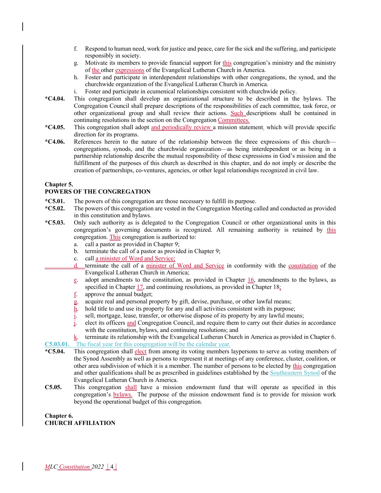- f. Respond to human need, work for justice and peace, care for the sick and the suffering, and participate responsibly in society.
- g. Motivate its members to provide financial support for this congregation's ministry and the ministry of the other expressions of the Evangelical Lutheran Church in America.
- h. Foster and participate in interdependent relationships with other congregations, the synod, and the churchwide organization of the Evangelical Lutheran Church in America.
- i. Foster and participate in ecumenical relationships consistent with churchwide policy.
- **\*C4.04.** This congregation shall develop an organizational structure to be described in the bylaws. The Congregation Council shall prepare descriptions of the responsibilities of each committee, task force, or other organizational group and shall review their actions. Such descriptions shall be contained in continuing resolutions in the section on the Congregation Committees.
- **\*C4.05.** This congregation shall adopt and periodically review a mission statement, which will provide specific direction for its programs.
- **\*C4.06.** References herein to the nature of the relationship between the three expressions of this church congregations, synods, and the churchwide organization—as being interdependent or as being in a partnership relationship describe the mutual responsibility of these expressions in God's mission and the fulfillment of the purposes of this church as described in this chapter, and do not imply or describe the creation of partnerships, co-ventures, agencies, or other legal relationships recognized in civil law.

#### **Chapter 5.**

#### **POWERS OF THE CONGREGATION**

- **\*C5.01.** The powers of this congregation are those necessary to fulfill its purpose.
- **\*C5.02.** The powers of this congregation are vested in the Congregation Meeting called and conducted as provided in this constitution and bylaws.
- **\*C5.03.** Only such authority as is delegated to the Congregation Council or other organizational units in this congregation's governing documents is recognized. All remaining authority is retained by this congregation. This congregation is authorized to:
	- a. call a pastor as provided in Chapter 9;
	- b. terminate the call of a pastor as provided in Chapter 9;
	- c. call a minister of Word and Service;
	- d. terminate the call of a minister of Word and Service in conformity with the constitution of the Evangelical Lutheran Church in America;
		- $e$ . adopt amendments to the constitution, as provided in Chapter 16, amendments to the bylaws, as specified in Chapter  $17$ , and continuing resolutions, as provided in Chapter  $18$ ;
		- $\underline{\underline{f}}$ . approve the annual budget;
		- g. acquire real and personal property by gift, devise, purchase, or other lawful means;
		- $h$ . hold title to and use its property for any and all activities consistent with its purpose;
		- $i$ . sell, mortgage, lease, transfer, or otherwise dispose of its property by any lawful means;
		- j. elect its officers and Congregation Council, and require them to carry out their duties in accordance with the constitution, bylaws, and continuing resolutions; and
- $k$ . terminate its relationship with the Evangelical Lutheran Church in America as provided in Chapter 6. **C5.03.01.** The fiscal year for this congregation will be the calendar year.
- **\*C5.04.** This congregation shall elect from among its voting members laypersons to serve as voting members of the Synod Assembly as well as persons to represent it at meetings of any conference, cluster, coalition, or other area subdivision of which it is a member. The number of persons to be elected by this congregation and other qualifications shall be as prescribed in guidelines established by the Southeastern Synod of the Evangelical Lutheran Church in America.
- **C5.05.** This congregation shall have a mission endowment fund that will operate as specified in this congregation's <u>bylaws.</u> The purpose of the mission endowment fund is to provide for mission work beyond the operational budget of this congregation.

**Chapter 6. CHURCH AFFILIATION**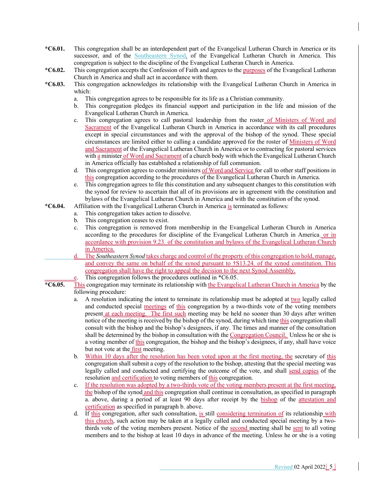- **\*C6.01.** This congregation shall be an interdependent part of the Evangelical Lutheran Church in America or its successor, and of the Southeastern Synod. of the Evangelical Lutheran Church in America. This congregation is subject to the discipline of the Evangelical Lutheran Church in America.
- **\*C6.02.** This congregation accepts the Confession of Faith and agrees to the purposes of the Evangelical Lutheran Church in America and shall act in accordance with them.
- **\*C6.03.** This congregation acknowledges its relationship with the Evangelical Lutheran Church in America in which:
	- a. This congregation agrees to be responsible for its life as a Christian community.
	- b. This congregation pledges its financial support and participation in the life and mission of the Evangelical Lutheran Church in America.
	- c. This congregation agrees to call pastoral leadership from the roster of Ministers of Word and Sacrament of the Evangelical Lutheran Church in America in accordance with its call procedures except in special circumstances and with the approval of the bishop of the synod. These special circumstances are limited either to calling a candidate approved for the roster of Ministers of Word and Sacrament of the Evangelical Lutheran Church in America or to contracting for pastoral services with a minister of Word and Sacrament of a church body with which the Evangelical Lutheran Church in America officially has established a relationship of full communion.
	- d. This congregation agrees to consider ministers of Word and Service for call to other staff positions in this congregation according to the procedures of the Evangelical Lutheran Church in America.
	- e. This congregation agrees to file this constitution and any subsequent changes to this constitution with the synod for review to ascertain that all of its provisions are in agreement with the constitution and bylaws of the Evangelical Lutheran Church in America and with the constitution of the synod.
- **\*C6.04.** Affiliation with the Evangelical Lutheran Church in America is terminated as follows:
	- a. This congregation takes action to dissolve.
	- b. This congregation ceases to exist.
	- c. This congregation is removed from membership in the Evangelical Lutheran Church in America according to the procedures for discipline of the Evangelical Lutheran Church in America. or in accordance with provision 9.23. of the constitution and bylaws of the Evangelical Lutheran Church in America.
	- d. The *Southeastern Synod* takes charge and control of the property of this congregation to hold, manage, and convey the same on behalf of the synod pursuant to †S13.24. of the synod constitution. This congregation shall have the right to appeal the decision to the next Synod Assembly.
		- This congregation follows the procedures outlined in  $*C6.05$ .
- **\*C6.05.** This congregation may terminate its relationship with the Evangelical Lutheran Church in America by the following procedure:
	- a. A resolution indicating the intent to terminate its relationship must be adopted at two legally called and conducted special meetings of this congregation by a two-thirds vote of the voting members present at each meeting. The first such meeting may be held no sooner than 30 days after written notice of the meeting is received by the bishop of the synod, during which time this congregation shall consult with the bishop and the bishop's designees, if any. The times and manner of the consultation shall be determined by the bishop in consultation with the Congregation Council. Unless he or she is a voting member of this congregation, the bishop and the bishop's designees, if any, shall have voice but not vote at the <u>first</u> meeting.
	- b. Within 10 days after the resolution has been voted upon at the first meeting, the secretary of this congregation shall submit a copy of the resolution to the bishop, attesting that the special meeting was legally called and conducted and certifying the outcome of the vote, and shall send copies of the resolution and certification to voting members of this congregation.
	- c. If the resolution was adopted by a two-thirds vote of the voting members present at the first meeting, the bishop of the synod and this congregation shall continue in consultation, as specified in paragraph a. above, during a period of at least 90 days after receipt by the bishop of the attestation and certification as specified in paragraph b. above.
	- d. If this congregation, after such consultation, is still considering termination of its relationship with this church, such action may be taken at a legally called and conducted special meeting by a twothirds vote of the voting members present. Notice of the second meeting shall be sent to all voting members and to the bishop at least 10 days in advance of the meeting. Unless he or she is a voting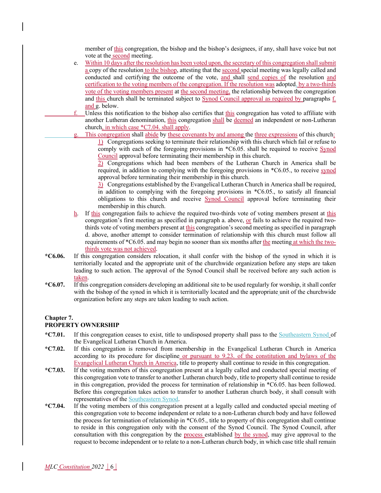member of this congregation, the bishop and the bishop's designees, if any, shall have voice but not vote at the second meeting.

- e. Within 10 days after the resolution has been voted upon, the secretary of this congregation shall submit a copy of the resolution to the bishop, attesting that the second special meeting was legally called and conducted and certifying the outcome of the vote, and shall send copies of the resolution and certification to the voting members of the congregation. If the resolution was adopted, by a two-thirds vote of the voting members present at the second meeting, the relationship between the congregation and this church shall be terminated subject to  $Symod$  Council approval as required by paragraphs  $\underline{f}$ . and g. below.
- $f.$  Unless this notification to the bishop also certifies that this congregation has voted to affiliate with another Lutheran denomination, this congregation shall be deemed an independent or non-Lutheran church, in which case \*C7.04. shall apply.
	- This congregation shall abide by these covenants by and among the three expressions of this church: 1) Congregations seeking to terminate their relationship with this church which fail or refuse to comply with each of the foregoing provisions in \*C6.05. shall be required to receive Synod Council approval before terminating their membership in this church.

2) Congregations which had been members of the Lutheran Church in America shall be required, in addition to complying with the foregoing provisions in \*C6.05., to receive synod approval before terminating their membership in this church.

3) Congregations established by the Evangelical Lutheran Church in America shall be required, in addition to complying with the foregoing provisions in \*C6.05., to satisfy all financial obligations to this church and receive Synod Council approval before terminating their membership in this church.

- h. If this congregation fails to achieve the required two-thirds vote of voting members present at this congregation's first meeting as specified in paragraph a. above, or fails to achieve the required twothirds vote of voting members present at this congregation's second meeting as specified in paragraph d. above, another attempt to consider termination of relationship with this church must follow all requirements of \*C6.05. and may begin no sooner than six months after the meeting at which the twothirds vote was not achieved.
- **\*C6.06.** If this congregation considers relocation, it shall confer with the bishop of the synod in which it is territorially located and the appropriate unit of the churchwide organization before any steps are taken leading to such action. The approval of the Synod Council shall be received before any such action is taken.
- **\*C6.07.** If this congregation considers developing an additional site to be used regularly for worship, it shall confer with the bishop of the synod in which it is territorially located and the appropriate unit of the churchwide organization before any steps are taken leading to such action.

# **Chapter 7.**

## **PROPERTY OWNERSHIP**

- **\*C7.01.** If this congregation ceases to exist, title to undisposed property shall pass to the Southeastern Synod of the Evangelical Lutheran Church in America.
- **\*C7.02.** If this congregation is removed from membership in the Evangelical Lutheran Church in America according to its procedure for discipline or pursuant to 9.23. of the constitution and bylaws of the Evangelical Lutheran Church in America, title to property shall continue to reside in this congregation.
- **\*C7.03.** If the voting members of this congregation present at a legally called and conducted special meeting of this congregation vote to transfer to another Lutheran church body, title to property shall continue to reside in this congregation, provided the process for termination of relationship in \*C6.05. has been followed. Before this congregation takes action to transfer to another Lutheran church body, it shall consult with representatives of the Southeastern Synod.
- **\*C7.04.** If the voting members of this congregation present at a legally called and conducted special meeting of this congregation vote to become independent or relate to a non-Lutheran church body and have followed the process for termination of relationship in \*C6.05., title to property of this congregation shall continue to reside in this congregation only with the consent of the Synod Council. The Synod Council, after consultation with this congregation by the process established by the synod, may give approval to the request to become independent or to relate to a non-Lutheran church body, in which case title shall remain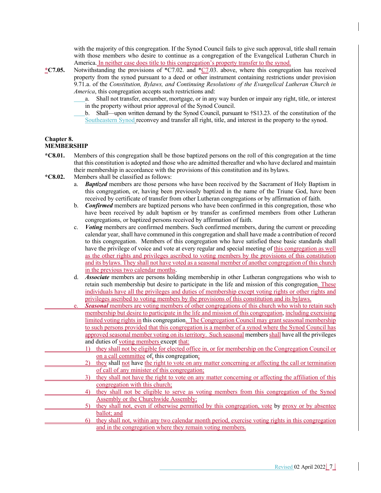with the majority of this congregation. If the Synod Council fails to give such approval, title shall remain with those members who desire to continue as a congregation of the Evangelical Lutheran Church in America. In neither case does title to this congregation's property transfer to the synod.

- **\*C7.05.** Notwithstanding the provisions of \*C7.02. and \*C7.03. above, where this congregation has received property from the synod pursuant to a deed or other instrument containing restrictions under provision 9.71.a. of the *Constitution, Bylaws, and Continuing Resolutions of the Evangelical Lutheran Church in America*, this congregation accepts such restrictions and:
	- a. Shall not transfer, encumber, mortgage, or in any way burden or impair any right, title, or interest in the property without prior approval of the Synod Council.
	- b. Shall—upon written demand by the Synod Council, pursuant to †S13.23. of the constitution of the Southeastern Synod reconvey and transfer all right, title, and interest in the property to the synod.

#### **Chapter 8. MEMBERSHIP**

- **\*C8.01.** Members of this congregation shall be those baptized persons on the roll of this congregation at the time that this constitution is adopted and those who are admitted thereafter and who have declared and maintain their membership in accordance with the provisions of this constitution and its bylaws.
- **\*C8.02.** Members shall be classified as follows:
	- a. *Baptized* members are those persons who have been received by the Sacrament of Holy Baptism in this congregation, or, having been previously baptized in the name of the Triune God, have been received by certificate of transfer from other Lutheran congregations or by affirmation of faith.
	- b. *Confirmed* members are baptized persons who have been confirmed in this congregation, those who have been received by adult baptism or by transfer as confirmed members from other Lutheran congregations, or baptized persons received by affirmation of faith.
	- c. *Voting* members are confirmed members. Such confirmed members, during the current or preceding calendar year, shall have communed in this congregation and shall have made a contribution of record to this congregation. Members of this congregation who have satisfied these basic standards shall have the privilege of voice and vote at every regular and special meeting of this congregation as well as the other rights and privileges ascribed to voting members by the provisions of this constitution and its bylaws. They shall not have voted as a seasonal member of another congregation of this church in the previous two calendar months.
	- d. *Associate* members are persons holding membership in other Lutheran congregations who wish to retain such membership but desire to participate in the life and mission of this congregation. These individuals have all the privileges and duties of membership except voting rights or other rights and privileges ascribed to voting members by the provisions of this constitution and its bylaws.
	- **Seasonal** members are voting members of other congregations of this church who wish to retain such membership but desire to participate in the life and mission of this congregation, including exercising limited voting rights in this congregation. The Congregation Council may grant seasonal membership to such persons provided that this congregation is a member of a synod where the Synod Council has approved seasonal member voting on its territory. Such seasonal members shall have all the privileges and duties of voting members except that:
		- 1) they shall not be eligible for elected office in, or for membership on the Congregation Council or on a call committee of, this congregation;
			- 2) they shall not have the right to vote on any matter concerning or affecting the call or termination of call of any minister of this congregation;
		- 3) they shall not have the right to vote on any matter concerning or affecting the affiliation of this congregation with this church;
			- 4) they shall not be eligible to serve as voting members from this congregation of the Synod Assembly or the Churchwide Assembly;
			- 5) they shall not, even if otherwise permitted by this congregation, vote by proxy or by absentee ballot; and
	- 6) they shall not, within any two calendar month period, exercise voting rights in this congregation and in the congregation where they remain voting members.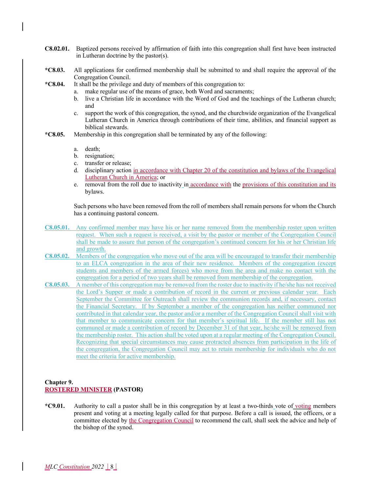- **C8.02.01.** Baptized persons received by affirmation of faith into this congregation shall first have been instructed in Lutheran doctrine by the pastor(s).
- **\*C8.03.** All applications for confirmed membership shall be submitted to and shall require the approval of the Congregation Council.
- **\*C8.04.** It shall be the privilege and duty of members of this congregation to:
	- a. make regular use of the means of grace, both Word and sacraments;
	- b. live a Christian life in accordance with the Word of God and the teachings of the Lutheran church; and
	- c. support the work of this congregation, the synod, and the churchwide organization of the Evangelical Lutheran Church in America through contributions of their time, abilities, and financial support as biblical stewards.
- **\*C8.05.** Membership in this congregation shall be terminated by any of the following:
	- a. death;
	- b. resignation;
	- c. transfer or release;
	- d. disciplinary action in accordance with Chapter 20 of the constitution and bylaws of the Evangelical Lutheran Church in America; or
	- e. removal from the roll due to inactivity in accordance with the provisions of this constitution and its bylaws.

Such persons who have been removed from the roll of members shall remain persons for whom the Church has a continuing pastoral concern.

- **C8.05.01.** Any confirmed member may have his or her name removed from the membership roster upon written request. When such a request is received, a visit by the pastor or member of the Congregation Council shall be made to assure that person of the congregation's continued concern for his or her Christian life and growth.
- **C8.05.02.** Members of the congregation who move out of the area will be encouraged to transfer their membership to an ELCA congregation in the area of their new residence. Members of the congregation (except students and members of the armed forces) who move from the area and make no contact with the congregation for a period of two years shall be removed from membership of the congregation.
- **C8.05.03.** A member of this congregation may be removed from the roster due to inactivity if he/she has not received the Lord's Supper or made a contribution of record in the current or previous calendar year. Each September the Committee for Outreach shall review the communion records and, if necessary, contact the Financial Secretary. If by September a member of the congregation has neither communed nor contributed in that calendar year, the pastor and/or a member of the Congregation Council shall visit with that member to communicate concern for that member's spiritual life. If the member still has not communed or made a contribution of record by December 31 of that year, he/she will be removed from the membership roster. This action shall be voted upon at a regular meeting of the Congregation Council. Recognizing that special circumstances may cause protracted absences from participation in the life of the congregation, the Congregation Council may act to retain membership for individuals who do not meet the criteria for active membership.

#### **Chapter 9. ROSTERED MINISTER (PASTOR)**

**\*C9.01.** Authority to call a pastor shall be in this congregation by at least a two-thirds vote of voting members present and voting at a meeting legally called for that purpose. Before a call is issued, the officers, or a committee elected by the Congregation Council to recommend the call, shall seek the advice and help of the bishop of the synod.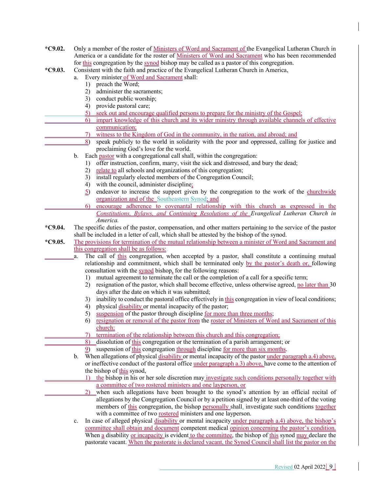- **\*C9.02.** Only a member of the roster of Ministers of Word and Sacrament of the Evangelical Lutheran Church in America or a candidate for the roster of Ministers of Word and Sacrament who has been recommended for this congregation by the synod bishop may be called as a pastor of this congregation.
- **\*C9.03.** Consistent with the faith and practice of the Evangelical Lutheran Church in America,
	- a. Every minister of Word and Sacrament shall:
		- 1) preach the Word;
		- 2) administer the sacraments;
		- 3) conduct public worship;
		- 4) provide pastoral care;
		- 5) seek out and encourage qualified persons to prepare for the ministry of the Gospel;
	- 6) impart knowledge of this church and its wider ministry through available channels of effective communication;
		- 7) witness to the Kingdom of God in the community, in the nation, and abroad; and
		- 8) speak publicly to the world in solidarity with the poor and oppressed, calling for justice and proclaiming God's love for the world.
		- b. Each pastor with a congregational call shall, within the congregation:
			- 1) offer instruction, confirm, marry, visit the sick and distressed, and bury the dead;
			- 2) relate to all schools and organizations of this congregation;
			- 3) install regularly elected members of the Congregation Council;
			- 4) with the council, administer discipline;
			- 5) endeavor to increase the support given by the congregation to the work of the churchwide organization and of the Southeastern Synod; and
			- 6) encourage adherence to covenantal relationship with this church as expressed in the *Constitutions, Bylaws, and Continuing Resolutions of the Evangelical Lutheran Church in America.*
- **\*C9.04.** The specific duties of the pastor, compensation, and other matters pertaining to the service of the pastor shall be included in a letter of call, which shall be attested by the bishop of the synod.
- **\*C9.05.** The provisions for termination of the mutual relationship between a minister of Word and Sacrament and this congregation shall be as follows:
	- a. The call of this congregation, when accepted by a pastor, shall constitute a continuing mutual relationship and commitment, which shall be terminated only by the pastor's death or, following consultation with the synod bishop, for the following reasons:
		- 1) mutual agreement to terminate the call or the completion of a call for a specific term;
		- 2) resignation of the pastor, which shall become effective, unless otherwise agreed, no later than 30 days after the date on which it was submitted;
		- 3) inability to conduct the pastoral office effectively in this congregation in view of local conditions;
		- 4) physical disability or mental incapacity of the pastor;
		- 5) suspension of the pastor through discipline for more than three months;
		- 6) resignation or removal of the pastor from the roster of Ministers of Word and Sacrament of this church;
		- termination of the relationship between this church and this congregation;
		- 8) dissolution of this congregation or the termination of a parish arrangement; or
		- suspension of this congregation through discipline for more than six months.
		- b. When allegations of physical disability or mental incapacity of the pastor under paragraph a.4) above, or ineffective conduct of the pastoral office under paragraph a.3) above, have come to the attention of the bishop of this synod,
			- 1) the bishop in his or her sole discretion may investigate such conditions personally together with a committee of two rostered ministers and one layperson, or
			- 2) when such allegations have been brought to the synod's attention by an official recital of allegations by the Congregation Council or by a petition signed by at least one-third of the voting members of this congregation, the bishop personally shall, investigate such conditions together with a committee of two rostered ministers and one layperson.
		- c. In case of alleged physical disability or mental incapacity under paragraph a.4) above, the bishop's committee shall obtain and document competent medical opinion concerning the pastor's condition. When a disability or incapacity is evident to the committee, the bishop of this synod may declare the pastorate vacant. When the pastorate is declared vacant, the Synod Council shall list the pastor on the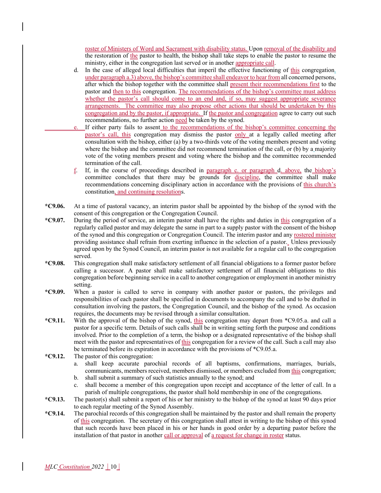roster of Ministers of Word and Sacrament with disability status. Upon removal of the disability and the restoration of the pastor to health, the bishop shall take steps to enable the pastor to resume the ministry, either in the congregation last served or in another appropriate call.

- d. In the case of alleged local difficulties that imperil the effective functioning of this congregation, under paragraph a.3) above, the bishop's committee shall endeavor to hear from all concerned persons, after which the bishop together with the committee shall present their recommendations first to the pastor and then to this congregation. The recommendations of the bishop's committee must address whether the pastor's call should come to an end and, if so, may suggest appropriate severance arrangements. The committee may also propose other actions that should be undertaken by this congregation and by the pastor, if appropriate. If the pastor and congregation agree to carry out such recommendations, no further action need be taken by the synod.
- e. If either party fails to assent to the recommendations of the bishop's committee concerning the pastor's call, this congregation may dismiss the pastor only at a legally called meeting after consultation with the bishop, either (a) by a two-thirds vote of the voting members present and voting where the bishop and the committee did not recommend termination of the call, or (b) by a majority vote of the voting members present and voting where the bishop and the committee recommended termination of the call.
- f. If, in the course of proceedings described in paragraph c. or paragraph d. above, the bishop's committee concludes that there may be grounds for discipline, the committee shall make recommendations concerning disciplinary action in accordance with the provisions of this church's constitution, and continuing resolutions.
- **\*C9.06.** At a time of pastoral vacancy, an interim pastor shall be appointed by the bishop of the synod with the consent of this congregation or the Congregation Council.
- **\*C9.07.** During the period of service, an interim pastor shall have the rights and duties in this congregation of a regularly called pastor and may delegate the same in part to a supply pastor with the consent of the bishop of the synod and this congregation or Congregation Council. The interim pastor and any rostered minister providing assistance shall refrain from exerting influence in the selection of a pastor. Unless previously agreed upon by the Synod Council, an interim pastor is not available for a regular call to the congregation served.
- **\*C9.08.** This congregation shall make satisfactory settlement of all financial obligations to a former pastor before calling a successor. A pastor shall make satisfactory settlement of all financial obligations to this congregation before beginning service in a call to another congregation or employment in another ministry setting.
- **\*C9.09.** When a pastor is called to serve in company with another pastor or pastors, the privileges and responsibilities of each pastor shall be specified in documents to accompany the call and to be drafted in consultation involving the pastors, the Congregation Council, and the bishop of the synod. As occasion requires, the documents may be revised through a similar consultation.
- **\*C9.11.** With the approval of the bishop of the synod, this congregation may depart from \*C9.05.a. and call a pastor for a specific term. Details of such calls shall be in writing setting forth the purpose and conditions involved. Prior to the completion of a term, the bishop or a designated representative of the bishop shall meet with the pastor and representatives of this congregation for a review of the call. Such a call may also be terminated before its expiration in accordance with the provisions of \*C9.05.a.
- **\*C9.12.** The pastor of this congregation:
	- a. shall keep accurate parochial records of all baptisms, confirmations, marriages, burials, communicants, members received, members dismissed, or members excluded from this congregation; b. shall submit a summary of such statistics annually to the synod; and
	-
	- c. shall become a member of this congregation upon receipt and acceptance of the letter of call. In a parish of multiple congregations, the pastor shall hold membership in one of the congregations.
- **\*C9.13.** The pastor(s) shall submit a report of his or her ministry to the bishop of the synod at least 90 days prior to each regular meeting of the Synod Assembly.
- **\*C9.14.** The parochial records of this congregation shall be maintained by the pastor and shall remain the property of this congregation. The secretary of this congregation shall attest in writing to the bishop of this synod that such records have been placed in his or her hands in good order by a departing pastor before the installation of that pastor in another call or approval of a request for change in roster status.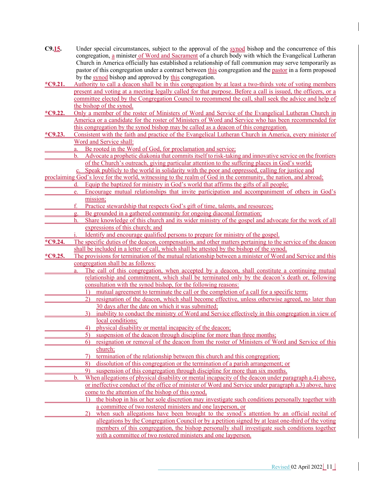- **C9.15.** Under special circumstances, subject to the approval of the synod bishop and the concurrence of this congregation, a minister of Word and Sacrament of a church body with which the Evangelical Lutheran Church in America officially has established a relationship of full communion may serve temporarily as pastor of this congregation under a contract between this congregation and the pastor in a form proposed by the synod bishop and approved by this congregation.
- **\*C9.21.** Authority to call a deacon shall be in this congregation by at least a two-thirds vote of voting members present and voting at a meeting legally called for that purpose. Before a call is issued, the officers, or a committee elected by the Congregation Council to recommend the call, shall seek the advice and help of the bishop of the synod.
- **\*C9.22.** Only a member of the roster of Ministers of Word and Service of the Evangelical Lutheran Church in America or a candidate for the roster of Ministers of Word and Service who has been recommended for this congregation by the synod bishop may be called as a deacon of this congregation.
- **\*C9.23.** Consistent with the faith and practice of the Evangelical Lutheran Church in America, every minister of Word and Service shall:
	- a. Be rooted in the Word of God, for proclamation and service;
	- b. Advocate a prophetic diakonia that commits itself to risk-taking and innovative service on the frontiers of the Church's outreach, giving particular attention to the suffering places in God's world;
		- c. Speak publicly to the world in solidarity with the poor and oppressed, calling for justice and

proclaiming God's love for the world, witnessing to the realm of God in the community, the nation, and abroad; d. Equip the baptized for ministry in God's world that affirms the gifts of all people;

- e. Encourage mutual relationships that invite participation and accompaniment of others in God's mission;
	- Practice stewardship that respects God's gift of time, talents, and resources;
	- g. Be grounded in a gathered community for ongoing diaconal formation;
- h. Share knowledge of this church and its wider ministry of the gospel and advocate for the work of all expressions of this church; and
- Identify and encourage qualified persons to prepare for ministry of the gospel.
- **\*C9.24.** The specific duties of the deacon, compensation, and other matters pertaining to the service of the deacon shall be included in a letter of call, which shall be attested by the bishop of the synod.
- **\*C9.25.** The provisions for termination of the mutual relationship between a minister of Word and Service and this congregation shall be as follows:
	- The call of this congregation, when accepted by a deacon, shall constitute a continuing mutual relationship and commitment, which shall be terminated only by the deacon's death or, following consultation with the synod bishop, for the following reasons:
		- 1) mutual agreement to terminate the call or the completion of a call for a specific term;
		- 2) resignation of the deacon, which shall become effective, unless otherwise agreed, no later than 30 days after the date on which it was submitted;
		- 3) inability to conduct the ministry of Word and Service effectively in this congregation in view of local conditions:
	- 4) physical disability or mental incapacity of the deacon;
		- 5) suspension of the deacon through discipline for more than three months;
	- 6) resignation or removal of the deacon from the roster of Ministers of Word and Service of this church;
- 7) termination of the relationship between this church and this congregation;
	- 8) dissolution of this congregation or the termination of a parish arrangement; or
	- 9) suspension of this congregation through discipline for more than six months.
- When allegations of physical disability or mental incapacity of the deacon under paragraph a.4) above, or ineffective conduct of the office of minister of Word and Service under paragraph a.3) above, have come to the attention of the bishop of this synod,
	- 1) the bishop in his or her sole discretion may investigate such conditions personally together with a committee of two rostered ministers and one layperson, or
		- 2) when such allegations have been brought to the synod's attention by an official recital of allegations by the Congregation Council or by a petition signed by at least one-third of the voting members of this congregation, the bishop personally shall investigate such conditions together with a committee of two rostered ministers and one layperson.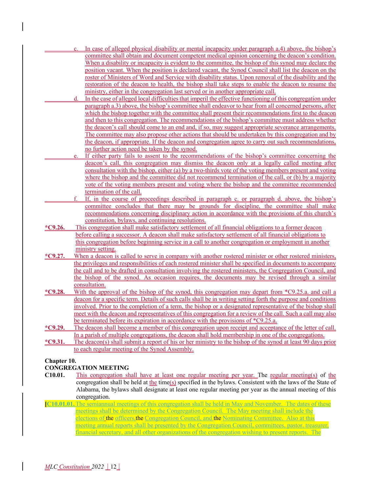- In case of alleged physical disability or mental incapacity under paragraph a.4) above, the bishop's committee shall obtain and document competent medical opinion concerning the deacon's condition. When a disability or incapacity is evident to the committee, the bishop of this synod may declare the position vacant. When the position is declared vacant, the Synod Council shall list the deacon on the roster of Ministers of Word and Service with disability status. Upon removal of the disability and the restoration of the deacon to health, the bishop shall take steps to enable the deacon to resume the ministry, either in the congregation last served or in another appropriate call.
- In the case of alleged local difficulties that imperil the effective functioning of this congregation under paragraph a.3) above, the bishop's committee shall endeavor to hear from all concerned persons, after which the bishop together with the committee shall present their recommendations first to the deacon and then to this congregation. The recommendations of the bishop's committee must address whether the deacon's call should come to an end and, if so, may suggest appropriate severance arrangements. The committee may also propose other actions that should be undertaken by this congregation and by the deacon, if appropriate. If the deacon and congregation agree to carry out such recommendations, no further action need be taken by the synod.
	- If either party fails to assent to the recommendations of the bishop's committee concerning the deacon's call, this congregation may dismiss the deacon only at a legally called meeting after consultation with the bishop, either (a) by a two-thirds vote of the voting members present and voting where the bishop and the committee did not recommend termination of the call, or (b) by a majority vote of the voting members present and voting where the bishop and the committee recommended termination of the call.
- f. If, in the course of proceedings described in paragraph c. or paragraph d. above, the bishop's committee concludes that there may be grounds for discipline, the committee shall make recommendations concerning disciplinary action in accordance with the provisions of this church's constitution, bylaws, and continuing resolutions.
- **\*C9.26.** This congregation shall make satisfactory settlement of all financial obligations to a former deacon before calling a successor. A deacon shall make satisfactory settlement of all financial obligations to this congregation before beginning service in a call to another congregation or employment in another ministry setting.
- **\*C9.27.** When a deacon is called to serve in company with another rostered minister or other rostered ministers, the privileges and responsibilities of each rostered minister shall be specified in documents to accompany the call and to be drafted in consultation involving the rostered ministers, the Congregation Council, and the bishop of the synod. As occasion requires, the documents may be revised through a similar consultation.
- **\*C9.28.** With the approval of the bishop of the synod, this congregation may depart from \*C9.25.a. and call a deacon for a specific term. Details of such calls shall be in writing setting forth the purpose and conditions involved. Prior to the completion of a term, the bishop or a designated representative of the bishop shall meet with the deacon and representatives of this congregation for a review of the call. Such a call may also be terminated before its expiration in accordance with the provisions of \*C9.25.a.
- **\*C9.29.** The deacon shall become a member of this congregation upon receipt and acceptance of the letter of call. In a parish of multiple congregations, the deacon shall hold membership in one of the congregations.
- **\*C9.31.** The deacon(s) shall submit a report of his or her ministry to the bishop of the synod at least 90 days prior to each regular meeting of the Synod Assembly.

#### **Chapter 10.**

#### **CONGREGATION MEETING**

- **C10.01.** This congregation shall have at least one regular meeting per year. The regular meeting(s) of the congregation shall be held at the time(s) specified in the bylaws. Consistent with the laws of the State of Alabama, the bylaws shall designate at least one regular meeting per year as the annual meeting of this congregation.
- **[C10.01.01.**The semiannual meetings of this congregation shall be held in May and November. The dates of these meetings shall be determined by the Congregation Council. The May meeting shall include the elections of the officers, the Congregation Council, and the Nominating Committee. Also at this meeting annual reports shall be presented by the Congregation Council, committees, pastor, treasurer, financial secretary, and all other organizations of the congregation wishing to present reports. The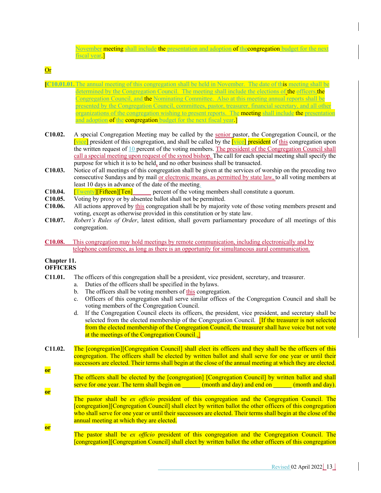November meeting shall include the presentation and adoption of the congregation budget for the next fiscal year.]

# **Or**

- **[C10.01.01.**The annual meeting of this congregation shall be held in November. The date of this meeting shall be determined by the Congregation Council. The meeting shall include the elections of the officers the Congregation Council, and the Nominating Committee. Also at this meeting annual reports shall be presented by the Congregation Council, committees, pastor, treasurer, financial secretary, and all other organizations of the congregation wishing to present reports. The meeting shall include the presentation and adoption of the congregation budget for the next fiscal year.
- **C10.02.** A special Congregation Meeting may be called by the senior pastor, the Congregation Council, or the [vice] president of this congregation, and shall be called by the [vice] president of this congregation upon the written request of 10 percent of the voting members. The president of the Congregation Council shall call a special meeting upon request of the synod bishop. The call for each special meeting shall specify the purpose for which it is to be held, and no other business shall be transacted.
- **C10.03.** Notice of all meetings of this congregation shall be given at the services of worship on the preceding two consecutive Sundays and by mail or electronic means, as permitted by state law, to all voting members at least 10 days in advance of the date of the meeting.
- **C10.04. Twenty [Fifteen] Ten** percent of the voting members shall constitute a quorum.
- **C10.05.** Voting by proxy or by absentee ballot shall not be permitted.
- **C10.06.** All actions approved by this congregation shall be by majority vote of those voting members present and voting, except as otherwise provided in this constitution or by state law.
- **C10.07.** *Robert's Rules of Order*, latest edition, shall govern parliamentary procedure of all meetings of this congregation.
- **C10.08.** This congregation may hold meetings by remote communication, including electronically and by telephone conference, as long as there is an opportunity for simultaneous aural communication.

#### **Chapter 11. OFFICERS**

**or**

**or**

**or**

- **C11.01.** The officers of this congregation shall be a president, vice president, secretary, and treasurer.
	- a. Duties of the officers shall be specified in the bylaws.
	- b. The officers shall be voting members of this congregation.
	- c. Officers of this congregation shall serve similar offices of the Congregation Council and shall be voting members of the Congregation Council.
	- d. If the Congregation Council elects its officers, the president, vice president, and secretary shall be selected from the elected membership of the Congregation Council. **If the treasurer is not selected** from the elected membership of the Congregation Council, the treasurer shall have voice but not vote at the meetings of the Congregation Council..
- **C11.02.** The [congregation][Congregation Council] shall elect its officers and they shall be the officers of this congregation. The officers shall be elected by written ballot and shall serve for one year or until their successors are elected. Their terms shall begin at the close of the annual meeting at which they are elected.
	- The officers shall be elected by the [congregation] [Congregation Council] by written ballot and shall serve for one year. The term shall begin on (month and day) and end on (month and day).
		- The pastor shall be *ex officio* president of this congregation and the Congregation Council. The [congregation][Congregation Council] shall elect by written ballot the other officers of this congregation who shall serve for one year or until their successors are elected. Their terms shall begin at the close of the annual meeting at which they are elected.
			- The pastor shall be *ex officio* president of this congregation and the Congregation Council. The [congregation][Congregation Council] shall elect by written ballot the other officers of this congregation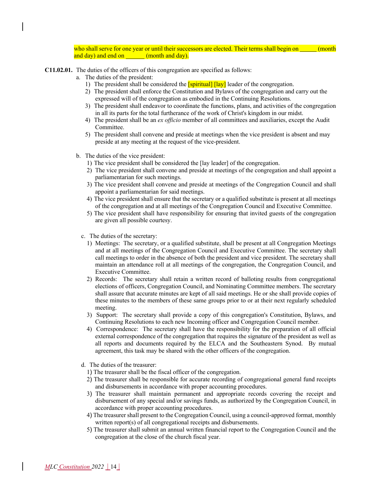who shall serve for one year or until their successors are elected. Their terms shall begin on (month and day) and end on (month and day).

- **C11.02.01.** The duties of the officers of this congregation are specified as follows:
	- a. The duties of the president:
		- 1) The president shall be considered the  $\frac{1}{\text{Spiritud}} \left[ \frac{1}{\text{a}y} \right]$  leader of the congregation.
		- 2) The president shall enforce the Constitution and Bylaws of the congregation and carry out the expressed will of the congregation as embodied in the Continuing Resolutions.
		- 3) The president shall endeavor to coordinate the functions, plans, and activities of the congregation in all its parts for the total furtherance of the work of Christ's kingdom in our midst.
		- 4) The president shall be an *ex officio* member of all committees and auxiliaries, except the Audit Committee.
		- 5) The president shall convene and preside at meetings when the vice president is absent and may preside at any meeting at the request of the vice-president.
	- b. The duties of the vice president:
		- 1) The vice president shall be considered the [lay leader] of the congregation.
		- 2) The vice president shall convene and preside at meetings of the congregation and shall appoint a parliamentarian for such meetings.
		- 3) The vice president shall convene and preside at meetings of the Congregation Council and shall appoint a parliamentarian for said meetings.
		- 4) The vice president shall ensure that the secretary or a qualified substitute is present at all meetings of the congregation and at all meetings of the Congregation Council and Executive Committee.
		- 5) The vice president shall have responsibility for ensuring that invited guests of the congregation are given all possible courtesy.
		- c. The duties of the secretary:
			- 1) Meetings: The secretary, or a qualified substitute, shall be present at all Congregation Meetings and at all meetings of the Congregation Council and Executive Committee. The secretary shall call meetings to order in the absence of both the president and vice president. The secretary shall maintain an attendance roll at all meetings of the congregation, the Congregation Council, and Executive Committee.
			- 2) Records: The secretary shall retain a written record of balloting results from congregational elections of officers, Congregation Council, and Nominating Committee members. The secretary shall assure that accurate minutes are kept of all said meetings. He or she shall provide copies of these minutes to the members of these same groups prior to or at their next regularly scheduled meeting.
			- 3) Support: The secretary shall provide a copy of this congregation's Constitution, Bylaws, and Continuing Resolutions to each new Incoming officer and Congregation Council member.
			- 4) Correspondence: The secretary shall have the responsibility for the preparation of all official external correspondence of the congregation that requires the signature of the president as well as all reports and documents required by the ELCA and the Southeastern Synod. By mutual agreement, this task may be shared with the other officers of the congregation.
		- d. The duties of the treasurer:
			- 1) The treasurer shall be the fiscal officer of the congregation.
			- 2) The treasurer shall be responsible for accurate recording of congregational general fund receipts and disbursements in accordance with proper accounting procedures.
			- 3) The treasurer shall maintain permanent and appropriate records covering the receipt and disbursement of any special and/or savings funds, as authorized by the Congregation Council, in accordance with proper accounting procedures.
			- 4) The treasurer shall present to the Congregation Council, using a council-approved format, monthly written report(s) of all congregational receipts and disbursements.
			- 5) The treasurer shall submit an annual written financial report to the Congregation Council and the congregation at the close of the church fiscal year.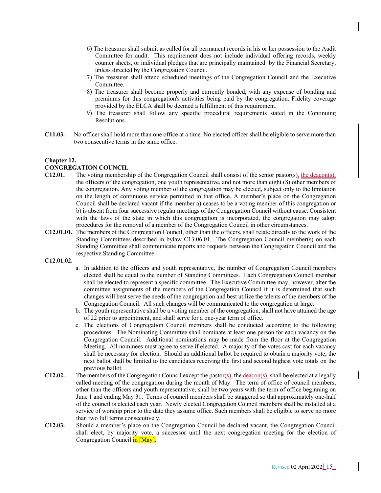- 6) The treasurer shall submit as called for all permanent records in his or her possession to the Audit Committee for audit. This requirement does not include individual offering records, weekly counter sheets, or individual pledges that are principally maintained by the Financial Secretary, unless directed by the Congregation Council.
- 7) The treasurer shall attend scheduled meetings of the Congregation Council and the Executive Committee.
- 8) The treasurer shall become properly and currently bonded, with any expense of bonding and premiums for this congregation's activities being paid by the congregation. Fidelity coverage provided by the ELCA shall be deemed a fulfillment of this requirement.
- 9) The treasurer shall follow any specific procedural requirements stated in the Continuing Resolutions.
- **C11.03.** No officer shall hold more than one office at a time. No elected officer shall be eligible to serve more than two consecutive terms in the same office.

#### **Chapter 12.**

# **CONGREGATION COUNCIL**<br>**C12.01.** The voting members

- The voting membership of the Congregation Council shall consist of the senior pastor(s), the deacon(s), the officers of the congregation, one youth representative, and not more than eight (8) other members of the congregation. Any voting member of the congregation may be elected, subject only to the limitation on the length of continuous service permitted in that office. A member's place on the Congregation Council shall be declared vacant if the member a) ceases to be a voting member of this congregation or b) is absent from four successive regular meetings of the Congregation Council without cause. Consistent with the laws of the state in which this congregation is incorporated, the congregation may adopt procedures for the removal of a member of the Congregation Council in other circumstances.
- **C12.01.01.** The members of the Congregation Council, other than the officers, shall relate directly to the work of the Standing Committees described in bylaw C13.06.01. The Congregation Council member(s) on each Standing Committee shall communicate reports and requests between the Congregation Council and the respective Standing Committee.

#### **C12.01.02.**

- a. In addition to the officers and youth representative, the number of Congregation Council members elected shall be equal to the number of Standing Committees. Each Congregation Council member shall be elected to represent a specific committee. The Executive Committee may, however, alter the committee assignments of the members of the Congregation Council if it is determined that such changes will best serve the needs of the congregation and best utilize the talents of the members of the Congregation Council. All such changes will be communicated to the congregation at large.
- b. The youth representative shall be a voting member of the congregation, shall not have attained the age of 22 prior to appointment, and shall serve for a one-year term of office.
- c. The elections of Congregation Council members shall be conducted according to the following procedures: The Nominating Committee shall nominate at least one person for each vacancy on the Congregation Council. Additional nominations may be made from the floor at the Congregation Meeting. All nominees must agree to serve if elected. A majority of the votes cast for each vacancy shall be necessary for election. Should an additional ballot be required to obtain a majority vote, the next ballot shall be limited to the candidates receiving the first and second highest vote totals on the previous ballot.
- **C12.02.** The members of the Congregation Council except the pastor( $s$ ), the deacon( $s$ ), shall be elected at a legally called meeting of the congregation during the month of May. The term of office of council members, other than the officers and youth representative, shall be two years with the term of office beginning on June 1 and ending May 31. Terms of council members shall be staggered so that approximately one-half of the council is elected each year. Newly elected Congregation Council members shall be installed at a service of worship prior to the date they assume office. Such members shall be eligible to serve no more than two full terms consecutively.
- **C12.03.** Should a member's place on the Congregation Council be declared vacant, the Congregation Council shall elect, by majority vote, a successor until the next congregation meeting for the election of Congregation Council in [May].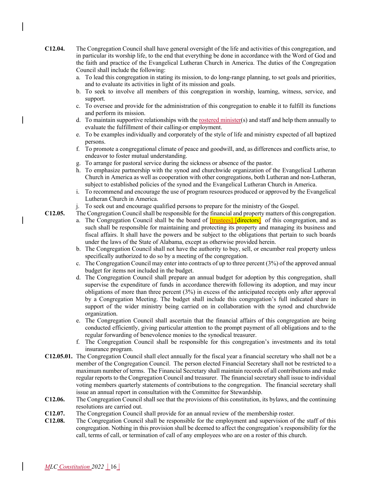- **C12.04.** The Congregation Council shall have general oversight of the life and activities of this congregation, and in particular its worship life, to the end that everything be done in accordance with the Word of God and the faith and practice of the Evangelical Lutheran Church in America. The duties of the Congregation Council shall include the following:
	- a. To lead this congregation in stating its mission, to do long-range planning, to set goals and priorities, and to evaluate its activities in light of its mission and goals.
	- b. To seek to involve all members of this congregation in worship, learning, witness, service, and support.
	- c. To oversee and provide for the administration of this congregation to enable it to fulfill its functions and perform its mission.
	- d. To maintain supportive relationships with the <u>rostered minister</u>(s) and staff and help them annually to evaluate the fulfillment of their calling or employment.
	- e. To be examples individually and corporately of the style of life and ministry expected of all baptized persons.
	- f. To promote a congregational climate of peace and goodwill, and, as differences and conflicts arise, to endeavor to foster mutual understanding.
	- g. To arrange for pastoral service during the sickness or absence of the pastor.
	- h. To emphasize partnership with the synod and churchwide organization of the Evangelical Lutheran Church in America as well as cooperation with other congregations, both Lutheran and non-Lutheran, subject to established policies of the synod and the Evangelical Lutheran Church in America.
	- i. To recommend and encourage the use of program resources produced or approved by the Evangelical Lutheran Church in America.
	- j. To seek out and encourage qualified persons to prepare for the ministry of the Gospel.

**C12.05.** The Congregation Council shall be responsible for the financial and property matters of this congregation.

- a. The Congregation Council shall be the board of  $[\text{trustees}]$  directors<sup>]</sup> of this congregation, and as such shall be responsible for maintaining and protecting its property and managing its business and fiscal affairs. It shall have the powers and be subject to the obligations that pertain to such boards under the laws of the State of Alabama, except as otherwise provided herein.
- b. The Congregation Council shall not have the authority to buy, sell, or encumber real property unless specifically authorized to do so by a meeting of the congregation.
- c. The Congregation Council may enter into contracts of up to three percent (3%) of the approved annual budget for items not included in the budget.
- d. The Congregation Council shall prepare an annual budget for adoption by this congregation, shall supervise the expenditure of funds in accordance therewith following its adoption, and may incur obligations of more than three percent (3%) in excess of the anticipated receipts only after approval by a Congregation Meeting. The budget shall include this congregation's full indicated share in support of the wider ministry being carried on in collaboration with the synod and churchwide organization.
- e. The Congregation Council shall ascertain that the financial affairs of this congregation are being conducted efficiently, giving particular attention to the prompt payment of all obligations and to the regular forwarding of benevolence monies to the synodical treasurer.
- f. The Congregation Council shall be responsible for this congregation's investments and its total insurance program.
- **C12.05.01.** The Congregation Council shall elect annually for the fiscal year a financial secretary who shall not be a member of the Congregation Council. The person elected Financial Secretary shall not be restricted to a maximum number of terms. The Financial Secretary shall maintain records of all contributions and make regular reports to the Congregation Council and treasurer. The financial secretary shall issue to individual voting members quarterly statements of contributions to the congregation. The financial secretary shall issue an annual report in consultation with the Committee for Stewardship.
- **C12.06.** The Congregation Council shall see that the provisions of this constitution, its bylaws, and the continuing resolutions are carried out.
- **C12.07.** The Congregation Council shall provide for an annual review of the membership roster.
- **C12.08.** The Congregation Council shall be responsible for the employment and supervision of the staff of this congregation. Nothing in this provision shall be deemed to affect the congregation's responsibility for the call, terms of call, or termination of call of any employees who are on a roster of this church.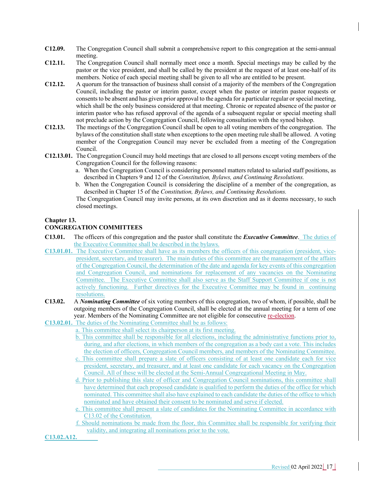- **C12.09.** The Congregation Council shall submit a comprehensive report to this congregation at the semi-annual meeting.
- **C12.11.** The Congregation Council shall normally meet once a month. Special meetings may be called by the pastor or the vice president, and shall be called by the president at the request of at least one-half of its members. Notice of each special meeting shall be given to all who are entitled to be present.
- **C12.12.** A quorum for the transaction of business shall consist of a majority of the members of the Congregation Council, including the pastor or interim pastor, except when the pastor or interim pastor requests or consents to be absent and has given prior approval to the agenda for a particular regular or special meeting, which shall be the only business considered at that meeting. Chronic or repeated absence of the pastor or interim pastor who has refused approval of the agenda of a subsequent regular or special meeting shall not preclude action by the Congregation Council, following consultation with the synod bishop.
- **C12.13.** The meetings of the Congregation Council shall be open to all voting members of the congregation. The bylaws of the constitution shall state when exceptions to the open meeting rule shall be allowed. A voting member of the Congregation Council may never be excluded from a meeting of the Congregation Council.
- **C12.13.01.** The Congregation Council may hold meetings that are closed to all persons except voting members of the Congregation Council for the following reasons:
	- a. When the Congregation Council is considering personnel matters related to salaried staff positions, as described in Chapters 9 and 12 of the *Constitution, Bylaws, and Continuing Resolutions.*
	- b. When the Congregation Council is considering the discipline of a member of the congregation, as described in Chapter 15 of the *Constitution, Bylaws, and Continuing Resolutions.*

The Congregation Council may invite persons, at its own discretion and as it deems necessary, to such closed meetings.

#### **Chapter 13.**

#### **CONGREGATION COMMITTEES**

- **C13.01.** The officers of this congregation and the pastor shall constitute the *Executive Committee*. The duties of the Executive Committee shall be described in the bylaws.
- **C13.01.01.** The Executive Committee shall have as its members the officers of this congregation (president, vicepresident, secretary, and treasurer). The main duties of this committee are the management of the affairs of the Congregation Council, the determination of the date and agenda for key events of this congregation and Congregation Council, and nominations for replacement of any vacancies on the Nominating Committee. The Executive Committee shall also serve as the Staff Support Committee if one is not actively functioning. Further directives for the Executive Committee may be found in continuing resolutions.
- **C13.02.** A *Nominating Committee* of six voting members of this congregation, two of whom, if possible, shall be outgoing members of the Congregation Council, shall be elected at the annual meeting for a term of one year. Members of the Nominating Committee are not eligible for consecutive re-election.
- **C13.02.01.** The duties of the Nominating Committee shall be as follows:
	- a. This committee shall select its chairperson at its first meeting.
		- b. This committee shall be responsible for all elections, including the administrative functions prior to, during, and after elections, in which members of the congregation as a body cast a vote. This includes the election of officers, Congregation Council members, and members of the Nominating Committee.
		- c. This committee shall prepare a slate of officers consisting of at least one candidate each for vice president, secretary, and treasurer, and at least one candidate for each vacancy on the Congregation Council. All of these will be elected at the Semi-Annual Congregational Meeting in May.
		- d. Prior to publishing this slate of officer and Congregation Council nominations, this committee shall have determined that each proposed candidate is qualified to perform the duties of the office for which nominated. This committee shall also have explained to each candidate the duties of the office to which nominated and have obtained their consent to be nominated and serve if elected.
		- e. This committee shall present a slate of candidates for the Nominating Committee in accordance with C13.02 of the Constitution.
		- f. Should nominations be made from the floor, this Committee shall be responsible for verifying their validity, and integrating all nominations prior to the vote.

**C13.02.A12.**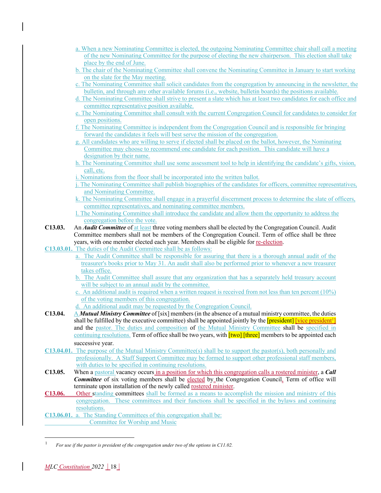| a. When a new Nominating Committee is elected, the outgoing Nominating Committee chair shall call a meeting |  |
|-------------------------------------------------------------------------------------------------------------|--|
| of the new Nominating Committee for the purpose of electing the new chairperson. This election shall take   |  |
| place by the end of June.                                                                                   |  |

- b. The chair of the Nominating Committee shall convene the Nominating Committee in January to start working on the slate for the May meeting.
- c. The Nominating Committee shall solicit candidates from the congregation by announcing in the newsletter, the bulletin, and through any other available forums (i.e., website, bulletin boards) the positions available.
- d. The Nominating Committee shall strive to present a slate which has at least two candidates for each office and committee representative position available.
- e. The Nominating Committee shall consult with the current Congregation Council for candidates to consider for open positions.
- f. The Nominating Committee is independent from the Congregation Council and is responsible for bringing forward the candidates it feels will best serve the mission of the congregation.
- g. All candidates who are willing to serve if elected shall be placed on the ballot, however, the Nominating Committee may choose to recommend one candidate for each position. This candidate will have a designation by their name.
- h. The Nominating Committee shall use some assessment tool to help in identifying the candidate's gifts, vision, call, etc.
- i. Nominations from the floor shall be incorporated into the written ballot.
- j. The Nominating Committee shall publish biographies of the candidates for officers, committee representatives, and Nominating Committee.
- k. The Nominating Committee shall engage in a prayerful discernment process to determine the slate of officers, committee representatives, and nominating committee members.
- l. The Nominating Committee shall introduce the candidate and allow them the opportunity to address the congregation before the vote.
- **C13.03.** An *Audit Committee* of at least three voting members shall be elected by the Congregation Council. Audit Committee members shall not be members of the Congregation Council. Term of office shall be three years, with one member elected each year. Members shall be eligible for re-election.
- **C13.03.01.** The duties of the Audit Committee shall be as follows:
	- a. The Audit Committee shall be responsible for assuring that there is a thorough annual audit of the treasurer's books prior to May 31. An audit shall also be performed prior to whenever a new treasurer takes office.
	- b. The Audit Committee shall assure that any organization that has a separately held treasury account will be subject to an annual audit by the committee.
	- c. An additional audit is required when a written request is received from not less than ten percent  $(10\%)$ of the voting members of this congregation.
	- d. An additional audit may be requested by the Congregation Council.

**C13.04.** A *Mutual Ministry Committee* of [six] members(in the absence of a mutual ministry committee, the duties shall be fulfilled by the executive committee) shall be appointed jointly by the *[president] [vice president<sup>1</sup>]* and the pastor. The duties and composition of the Mutual Ministry Committee shall be specified in continuing resolutions. Term of office shall be two years, with **[two] [three]** members to be appointed each successive year.

- **C13.04.01.** The purpose of the Mutual Ministry Committee(s) shall be to support the pastor(s), both personally and professionally. A Staff Support Committee may be formed to support other professional staff members, with duties to be specified in continuing resolutions.
- **C13.05.** When a pastoral vacancy occurs in a position for which this congregation calls a rostered minister, a *Call*  **Committee** of six voting members shall be elected by the Congregation Council. Term of office will terminate upon installation of the newly called rostered minister.
- **C13.06.** Other standing committees shall be formed as a means to accomplish the mission and ministry of this congregation. These committees and their functions shall be specified in the bylaws and continuing resolutions.

**C13.06.01.** a. The Standing Committees of this congregation shall be: Committee for Worship and Music

<sup>1</sup> *For use if the pastor is president of the congregation under two of the options in C11.02.*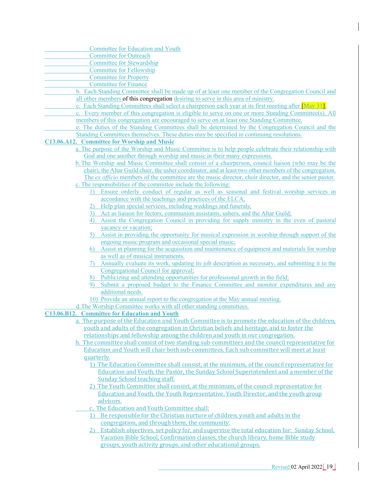| <b>Committee for Education and Youth</b>                                                                  |
|-----------------------------------------------------------------------------------------------------------|
| <b>Committee for Outreach</b>                                                                             |
| <b>Committee for Stewardship</b>                                                                          |
| <b>Committee for Fellowship</b>                                                                           |
| <b>Committee for Property</b>                                                                             |
| <b>Committee for Finance</b>                                                                              |
| b. Each Standing Committee shall be made up of at least one member of the Congregation Council and        |
| all other members of this congregation desiring to serve in this area of ministry.                        |
| c. Each Standing Committees shall select a chairperson each year at its first meeting after May 31.       |
|                                                                                                           |
| c. Every member of this congregation is eligible to serve on one or more Standing Committee(s). All       |
| members of this congregation are encouraged to serve on at least one Standing Committee.                  |
| e. The duties of the Standing Committees shall be determined by the Congregation Council and the          |
| Standing Committees themselves. These duties may be specified in continuing resolutions.                  |
| C13.06.A12. Committee for Worship and Music                                                               |
| a. The purpose of the Worship and Music Committee is to help people celebrate their relationship with     |
| God and one another through worship and music in their many expressions.                                  |
| b. The Worship and Music Committee shall consist of a chairperson, council liaison (who may be the        |
| chair), the Altar Guild chair, the usher coordinator, and at least two other members of the congregation. |
| The ex officio members of the committee are the music director, choir director, and the senior pastor.    |
| c. The responsibilities of the committee include the following:                                           |
| Ensure orderly conduct of regular as well as seasonal and festival worship services in                    |
| accordance with the teachings and practices of the ELCA;                                                  |
| Help plan special services, including weddings and funerals;                                              |
| Act as liaison for lectors, communion assistants, ushers, and the Altar Guild;<br>3)                      |
| Assist the Congregation Council in providing for supply ministry in the even of pastoral<br>4)            |
| vacancy or vacation;                                                                                      |
| Assist in providing the opportunity for musical expression in worship through support of the<br>5).       |
| ongoing music program and occasional special music;                                                       |
| Assist in planning for the acquisition and maintenance of equipment and materials for worship<br>6)       |
| as well as of musical instruments.                                                                        |
|                                                                                                           |
| Annually evaluate its work, updating its job description as necessary, and submitting it to the<br>7).    |
| Congregational Council for approval;                                                                      |
| Publicizing and attending opportunities for professional growth in the field;                             |
| Submit a proposed budget to the Finance Committee and monitor expenditures and any<br>9)                  |
| additional needs.                                                                                         |
| 10) Provide an annual report to the congregation at the May annual meeting.                               |
| d. The Worship Committee works with all other standing committees.                                        |
| C13.06.B12. Committee for Education and Youth                                                             |
| a. The purpose of the Education and Youth Committee is to promote the education of the children,          |
| youth and adults of the congregation in Christian beliefs and heritage, and to foster the                 |
| relationships and fellowship among the children and youth in our congregation.                            |
| b. The committee shall consist of two standing sub-committees and the council representative for          |
| Education and Youth will chair both sub-committees. Each sub committee will meet at least                 |
| quarterly.                                                                                                |
| 1) The Education Committee shall consist, at the minimum, of the council representative for               |
| Education and Youth, the Pastor, the Sunday School Superintendent and a member of the                     |
| <b>Sunday School teaching staff.</b>                                                                      |
| 2) The Youth Committee shall consist, at the minimum, of the council representative for                   |
| Education and Youth, the Youth Representative, Youth Director, and the youth group                        |
|                                                                                                           |
| advisors.                                                                                                 |
| c. The Education and Youth Committee shall:                                                               |
| Be responsible for the Christian nurture of children, youth and adults in the<br><sup>1</sup>             |
| congregation, and through them, the community.                                                            |
| 2) Establish objectives, set policy for, and supervise the total education for: Sunday School,            |
| Vacation Bible School, Confirmation classes, the church library, home Bible study                         |
| groups, youth activity groups, and other educational groups.                                              |
|                                                                                                           |
|                                                                                                           |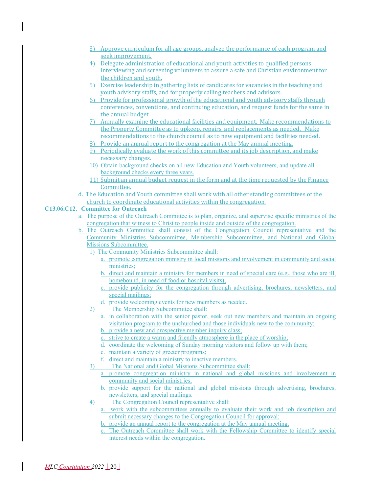- 3) Approve curriculum for all age groups, analyze the performance of each program and seek improvement.
- 4) Delegate administration of educational and youth activities to qualified persons, interviewing and screening volunteers to assure a safe and Christian environment for the children and youth.
- 5) Exercise leadership in gathering lists of candidates for vacancies in the teaching and youth advisory staffs, and for properly calling teachers and advisors.
- 6) Provide for professional growth of the educational and youth advisory staffs through conferences, conventions, and continuing education, and request funds for the same in the annual budget.
- 7) Annually examine the educational facilities and equipment. Make recommendations to the Property Committee as to upkeep, repairs, and replacements as needed. Make recommendations to the church council as to new equipment and facilities needed.
- 8) Provide an annual report to the congregation at the May annual meeting.
- 9) Periodically evaluate the work of this committee and its job description, and make necessary changes.
- 10) Obtain background checks on all new Education and Youth volunteers, and update all background checks every three years.
- 11) Submit an annual budget request in the form and at the time requested by the Finance Committee.
- d. The Education and Youth committee shall work with all other standing committees of the church to coordinate educational activities within the congregation.

#### **C13.06.C12. Committee for Outreach**

- a. The purpose of the Outreach Committee is to plan, organize, and supervise specific ministries of the congregation that witness to Christ to people inside and outside of the congregation.
- b. The Outreach Committee shall consist of the Congregation Council representative and the Community Ministries Subcommittee, Membership Subcommittee, and National and Global Missions Subcommittee.
	- 1) The Community Ministries Subcommittee shall:
		- a. promote congregation ministry in local missions and involvement in community and social ministries;
		- b. direct and maintain a ministry for members in need of special care (e.g., those who are ill, homebound, in need of food or hospital visits);
		- c. provide publicity for the congregation through advertising, brochures, newsletters, and special mailings;
		- d. provide welcoming events for new members as needed.
	- 2) The Membership Subcommittee shall:
		- a. in collaboration with the senior pastor, seek out new members and maintain an ongoing visitation program to the unchurched and those individuals new to the community;
		- b. provide a new and prospective member inquiry class;
		- c. strive to create a warm and friendly atmosphere in the place of worship;
		- d. coordinate the welcoming of Sunday morning visitors and follow up with them;
		- e. maintain a variety of greeter programs;
		- f. direct and maintain a ministry to inactive members.
	- 3) The National and Global Missions Subcommittee shall:
		- a. promote congregation ministry in national and global missions and involvement in community and social ministries;
		- b. provide support for the national and global missions through advertising, brochures, newsletters, and special mailings.
	- 4) The Congregation Council representative shall:
		- a. work with the subcommittees annually to evaluate their work and job description and submit necessary changes to the Congregation Council for approval;
		- b. provide an annual report to the congregation at the May annual meeting.
		- c. The Outreach Committee shall work with the Fellowship Committee to identify special interest needs within the congregation.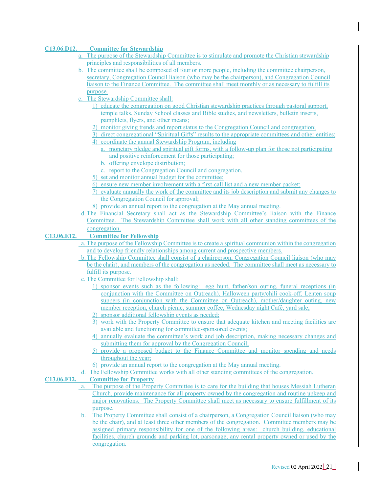#### **C13.06.D12. Committee for Stewardship**

- a. The purpose of the Stewardship Committee is to stimulate and promote the Christian stewardship principles and responsibilities of all members.
- b. The committee shall be composed of four or more people, including the committee chairperson, secretary, Congregation Council liaison (who may be the chairperson), and Congregation Council liaison to the Finance Committee. The committee shall meet monthly or as necessary to fulfill its purpose.
- c. The Stewardship Committee shall:
	- 1) educate the congregation on good Christian stewardship practices through pastoral support, temple talks, Sunday School classes and Bible studies, and newsletters, bulletin inserts, pamphlets, flyers, and other means;
	- 2) monitor giving trends and report status to the Congregation Council and congregation;
	- 3) direct congregational "Spiritual Gifts" results to the appropriate committees and other entities;
	- 4) coordinate the annual Stewardship Program, including
		- a. monetary pledge and spiritual gift forms, with a follow-up plan for those not participating and positive reinforcement for those participating;
		- b. offering envelope distribution;
		- c. report to the Congregation Council and congregation.
	- 5) set and monitor annual budget for the committee;
	- 6) ensure new member involvement with a first-call list and a new member packet;
	- 7) evaluate annually the work of the committee and its job description and submit any changes to the Congregation Council for approval;
	- 8) provide an annual report to the congregation at the May annual meeting.
- d.The Financial Secretary shall act as the Stewardship Committee's liaison with the Finance Committee. The Stewardship Committee shall work with all other standing committees of the congregation.

#### **C13.06.E12. Committee for Fellowship**

- a. The purpose of the Fellowship Committee is to create a spiritual communion within the congregation and to develop friendly relationships among current and prospective members.
- b.The Fellowship Committee shall consist of a chairperson, Congregation Council liaison (who may be the chair), and members of the congregation as needed. The committee shall meet as necessary to fulfill its purpose.
- c. The Committee for Fellowship shall:
	- 1) sponsor events such as the following: egg hunt, father/son outing, funeral receptions (in conjunction with the Committee on Outreach), Halloween party/chili cook-off, Lenten soup suppers (in conjunction with the Committee on Outreach), mother/daughter outing, new member reception, church picnic, summer coffee, Wednesday night Café, yard sale;
	- 2) sponsor additional fellowship events as needed;
	- 3) work with the Property Committee to ensure that adequate kitchen and meeting facilities are available and functioning for committee-sponsored events;
	- 4) annually evaluate the committee's work and job description, making necessary changes and submitting them for approval by the Congregation Council;
	- 5) provide a proposed budget to the Finance Committee and monitor spending and needs throughout the year;
	- 6) provide an annual report to the congregation at the May annual meeting.
- d. The Fellowship Committee works with all other standing committees of the congregation.

#### **C13.06.F12. Committee for Property**

- a. The purpose of the Property Committee is to care for the building that houses Messiah Lutheran Church, provide maintenance for all property owned by the congregation and routine upkeep and major renovations. The Property Committee shall meet as necessary to ensure fulfillment of its purpose.
- b. The Property Committee shall consist of a chairperson, a Congregation Council liaison (who may be the chair), and at least three other members of the congregation. Committee members may be assigned primary responsibility for one of the following areas: church building, educational facilities, church grounds and parking lot, parsonage, any rental property owned or used by the congregation.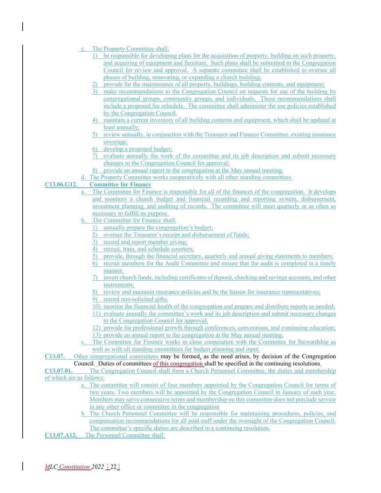|  |  |  |  | c. The Property Committee shall: |  |
|--|--|--|--|----------------------------------|--|
|--|--|--|--|----------------------------------|--|

- 1) be responsible for developing plans for the acquisition of property, building on such property, and acquiring of equipment and furniture, Such plans shall be submitted to the Congregation Council for review and approval. A separate committee shall be established to oversee all phases of building, renovating, or expanding a church building;
- 2) provide for the maintenance of all property, buildings, building contents, and equipment;
- 3) make recommendations to the Congregation Council on requests for use of the building by congregational groups, community groups, and individuals. These recommendations shall include a proposed fee schedule. The committee shall administer the use policies established by the Congregation Council.
- 4) maintain a current inventory of all building contents and equipment, which shall be updated at least annually;
- 5) review annually, in conjunction with the Treasurer and Finance Committee, existing insurance coverage;
- 6) develop a proposed budget;
- 7) evaluate annually the work of the committee and its job description and submit necessary changes to the Congregation Council for approval;
- 8) provide an annual report to the congregation at the May annual meeting.
- The Property Committee works cooperatively with all other standing committees.

#### **C13.06.G12. Committee for Finance**

- a. The Committee for Finance is responsible for all of the finances of the congregation. It develops and monitors a church budget and financial recording and reporting system, disbursement, investment planning, and auditing of records. The committee will meet quarterly or as often as necessary to fulfill its purpose.
- b. The Committee for Finance shall:
	- 1) annually prepare the congregation's budget;
	- 2) oversee the Treasurer's receipt and disbursement of funds;
	- 3) record and report member giving;
	- 4) recruit, train, and schedule counters;
	- 5) provide, through the financial secretary, quarterly and annual giving statements to members;
	- 6) recruit members for the Audit Committee and ensure that the audit is completed in a timely manner.
	- 7) invest church funds, including certificates of deposit, checking and savings accounts, and other instruments;
	- 8) review and maintain insurance policies and be the liaison for insurance representatives;
	- 9) record non-solicited gifts;
	- 10) monitor the financial health of the congregation and prepare and distribute reports as needed;
	- 11) evaluate annually the committee's work and its job description and submit necessary changes to the Congregation Council for approval;
	- 12) provide for professional growth through conferences, conventions, and continuing education; 13) provide an annual report to the congregation at the May annual meeting.
- c. The Committee for Finance works in close cooperation with the Committee for Stewardship as well as with all standing committees for budget planning and input.

**C13.07.** Other congregational committees may be formed, as the need arises, by decision of the Congregation Council. Duties of committees of this congregation shall be specified in the continuing resolutions.

#### **C13.07.01.** The Congregation Council shall form a Church Personnel Committee, the duties and membership of which are as follows:

- a. The committee will consist of four members appointed by the Congregation Council for terms of two years. Two members will be appointed by the Congregation Council in January of each year. Members may serve consecutive terms and membership on this committee does not preclude service in any other office or committee in the congregation
- b. The Church Personnel Committee will be responsible for maintaining procedures, policies, and compensation recommendations for all paid staff under the oversight of the Congregation Council. The committee's specific duties are described in a continuing resolution.
- **C13.07.A12.** The Personnel Committee shall: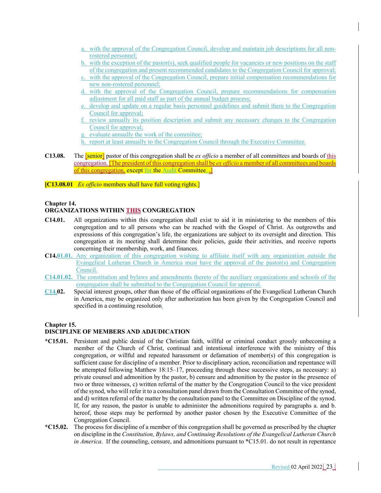- a. with the approval of the Congregation Council, develop and maintain job descriptions for all nonrostered personnel;
- b. with the exception of the pastor(s), seek qualified people for vacancies or new positions on the staff of the congregation and present recommended candidates to the Congregation Council for approval;
- c. with the approval of the Congregation Council, prepare initial compensation recommendations for new non-rostered personnel;
- d. with the approval of the Congregation Council, prepare recommendations for compensation adjustment for all paid staff as part of the annual budget process;
- e. develop and update on a regular basis personnel guidelines and submit them to the Congregation Council for approval;
- f. review annually its position description and submit any necessary changes to the Congregation Council for approval;
- g. evaluate annually the work of the committee;
- h. report at least annually to the Congregation Council through the Executive Committee.
- **C13.08.** The [senior] pastor of this congregation shall be *ex officio* a member of all committees and boards of this congregation. [The president of this congregation shall be *ex officio* a member of all committees and boards of this congregation, except for the Audit Committee.

**[C13.08.01** *Ex officio* members shall have full voting rights.]

## **Chapter 14.**

### **ORGANIZATIONS WITHIN THIS CONGREGATION**

- **C14.01.** All organizations within this congregation shall exist to aid it in ministering to the members of this congregation and to all persons who can be reached with the Gospel of Christ. As outgrowths and expressions of this congregation's life, the organizations are subject to its oversight and direction. This congregation at its meeting shall determine their policies, guide their activities, and receive reports concerning their membership, work, and finances.
- **C14.01.01.** Any organization of this congregation wishing to affiliate itself with any organization outside the Evangelical Lutheran Church in America must have the approval of the pastor(s) and Congregation Council.
- **C14.01.02.** The constitution and bylaws and amendments thereto of the auxiliary organizations and schools of the congregation shall be submitted to the Congregation Council for approval.
- **C14.02.** Special interest groups, other than those of the official organizations of the Evangelical Lutheran Church in America, may be organized only after authorization has been given by the Congregation Council and specified in a continuing resolution.

#### **Chapter 15.**

#### **DISCIPLINE OF MEMBERS AND ADJUDICATION**

- **\*C15.01.** Persistent and public denial of the Christian faith, willful or criminal conduct grossly unbecoming a member of the Church of Christ, continual and intentional interference with the ministry of this congregation, or willful and repeated harassment or defamation of member(s) of this congregation is sufficient cause for discipline of a member. Prior to disciplinary action, reconciliation and repentance will be attempted following Matthew 18:15–17, proceeding through these successive steps, as necessary: a) private counsel and admonition by the pastor, b) censure and admonition by the pastor in the presence of two or three witnesses, c) written referral of the matter by the Congregation Council to the vice president of the synod, who will refer it to a consultation panel drawn from the Consultation Committee of the synod, and d) written referral of the matter by the consultation panel to the Committee on Discipline of the synod. If, for any reason, the pastor is unable to administer the admonitions required by paragraphs a. and b. hereof, those steps may be performed by another pastor chosen by the Executive Committee of the Congregation Council.
- **\*C15.02.** The process for discipline of a member of this congregation shall be governed as prescribed by the chapter on discipline in the *Constitution, Bylaws, and Continuing Resolutions of the Evangelical Lutheran Church in America*. If the counseling, censure, and admonitions pursuant to \*C15.01. do not result in repentance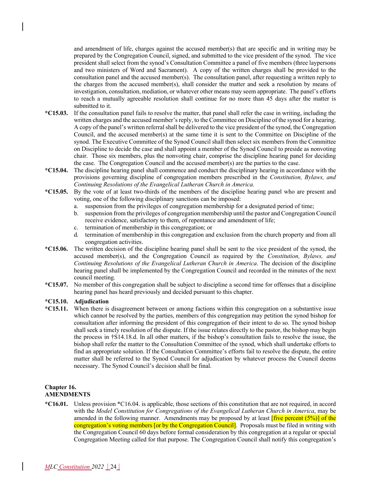and amendment of life, charges against the accused member(s) that are specific and in writing may be prepared by the Congregation Council, signed, and submitted to the vice president of the synod. The vice president shall select from the synod's Consultation Committee a panel of five members (three laypersons and two ministers of Word and Sacrament). A copy of the written charges shall be provided to the consultation panel and the accused member(s). The consultation panel, after requesting a written reply to the charges from the accused member(s), shall consider the matter and seek a resolution by means of investigation, consultation, mediation, or whatever other means may seem appropriate. The panel's efforts to reach a mutually agreeable resolution shall continue for no more than 45 days after the matter is submitted to it.

- **\*C15.03.** If the consultation panel fails to resolve the matter, that panel shall refer the case in writing, including the written charges and the accused member's reply, to the Committee on Discipline of the synod for a hearing. A copy of the panel's written referral shall be delivered to the vice president of the synod, the Congregation Council, and the accused member(s) at the same time it is sent to the Committee on Discipline of the synod. The Executive Committee of the Synod Council shall then select six members from the Committee on Discipline to decide the case and shall appoint a member of the Synod Council to preside as nonvoting chair. Those six members, plus the nonvoting chair, comprise the discipline hearing panel for deciding the case. The Congregation Council and the accused member(s) are the parties to the case.
- **\*C15.04.** The discipline hearing panel shall commence and conduct the disciplinary hearing in accordance with the provisions governing discipline of congregation members prescribed in the *Constitution, Bylaws, and Continuing Resolutions of the Evangelical Lutheran Church in America.*
- **\*C15.05.** By the vote of at least two-thirds of the members of the discipline hearing panel who are present and voting, one of the following disciplinary sanctions can be imposed:
	- a. suspension from the privileges of congregation membership for a designated period of time;
	- b. suspension from the privileges of congregation membership until the pastor and Congregation Council receive evidence, satisfactory to them, of repentance and amendment of life;
	- c. termination of membership in this congregation; or
	- d. termination of membership in this congregation and exclusion from the church property and from all congregation activities.
- **\*C15.06.** The written decision of the discipline hearing panel shall be sent to the vice president of the synod, the accused member(s), and the Congregation Council as required by the *Constitution, Bylaws, and Continuing Resolutions of the Evangelical Lutheran Church in America*. The decision of the discipline hearing panel shall be implemented by the Congregation Council and recorded in the minutes of the next council meeting.
- **\*C15.07.** No member of this congregation shall be subject to discipline a second time for offenses that a discipline hearing panel has heard previously and decided pursuant to this chapter.

#### **\*C15.10. Adjudication**

**\*C15.11.** When there is disagreement between or among factions within this congregation on a substantive issue which cannot be resolved by the parties, members of this congregation may petition the synod bishop for consultation after informing the president of this congregation of their intent to do so. The synod bishop shall seek a timely resolution of the dispute. If the issue relates directly to the pastor, the bishop may begin the process in †S14.18.d. In all other matters, if the bishop's consultation fails to resolve the issue, the bishop shall refer the matter to the Consultation Committee of the synod, which shall undertake efforts to find an appropriate solution. If the Consultation Committee's efforts fail to resolve the dispute, the entire matter shall be referred to the Synod Council for adjudication by whatever process the Council deems necessary. The Synod Council's decision shall be final.

#### **Chapter 16. AMENDMENTS**

**\*C16.01.** Unless provision \*C16.04. is applicable, those sections of this constitution that are not required, in accord with the *Model Constitution for Congregations of the Evangelical Lutheran Church in America*, may be amended in the following manner. Amendments may be proposed by at least  $[five percent (5%)]$  of the congregation's voting members [or by the Congregation Council]. Proposals must be filed in writing with the Congregation Council 60 days before formal consideration by this congregation at a regular or special Congregation Meeting called for that purpose. The Congregation Council shall notify this congregation's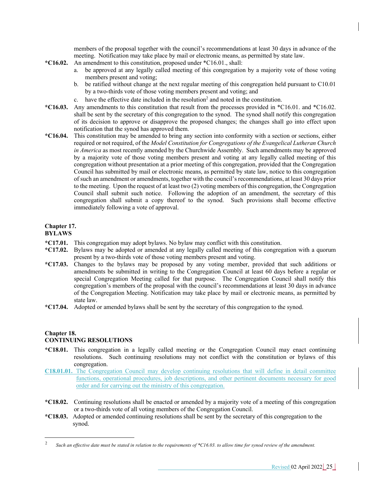members of the proposal together with the council's recommendations at least 30 days in advance of the meeting. Notification may take place by mail or electronic means, as permitted by state law.

- **\*C16.02.** An amendment to this constitution, proposed under \*C16.01., shall:
	- a. be approved at any legally called meeting of this congregation by a majority vote of those voting members present and voting;
	- b. be ratified without change at the next regular meeting of this congregation held pursuant to C10.01 by a two-thirds vote of those voting members present and voting; and
	- c. have the effective date included in the resolution<sup>2</sup> and noted in the constitution.
- **\*C16.03.** Any amendments to this constitution that result from the processes provided in \*C16.01. and \*C16.02. shall be sent by the secretary of this congregation to the synod. The synod shall notify this congregation of its decision to approve or disapprove the proposed changes; the changes shall go into effect upon notification that the synod has approved them.
- **\*C16.04.** This constitution may be amended to bring any section into conformity with a section or sections, either required or not required, of the *Model Constitution for Congregations of the Evangelical Lutheran Church in America* as most recently amended by the Churchwide Assembly. Such amendments may be approved by a majority vote of those voting members present and voting at any legally called meeting of this congregation without presentation at a prior meeting of this congregation, provided that the Congregation Council has submitted by mail or electronic means, as permitted by state law, notice to this congregation of such an amendment or amendments, together with the council's recommendations, at least 30 days prior to the meeting. Upon the request of at least two (2) voting members of this congregation, the Congregation Council shall submit such notice. Following the adoption of an amendment, the secretary of this congregation shall submit a copy thereof to the synod. Such provisions shall become effective immediately following a vote of approval.

# **Chapter 17.**

# **BYLAWS**

- **\*C17.01.** This congregation may adopt bylaws. No bylaw may conflict with this constitution.
- **\*C17.02.** Bylaws may be adopted or amended at any legally called meeting of this congregation with a quorum present by a two-thirds vote of those voting members present and voting.
- **\*C17.03.** Changes to the bylaws may be proposed by any voting member, provided that such additions or amendments be submitted in writing to the Congregation Council at least 60 days before a regular or special Congregation Meeting called for that purpose. The Congregation Council shall notify this congregation's members of the proposal with the council's recommendations at least 30 days in advance of the Congregation Meeting. Notification may take place by mail or electronic means, as permitted by state law.
- **\*C17.04.** Adopted or amended bylaws shall be sent by the secretary of this congregation to the synod.

#### **Chapter 18. CONTINUING RESOLUTIONS**

- **\*C18.01.** This congregation in a legally called meeting or the Congregation Council may enact continuing resolutions. Such continuing resolutions may not conflict with the constitution or bylaws of this congregation.
- **C18.01.01.** The Congregation Council may develop continuing resolutions that will define in detail committee functions, operational procedures, job descriptions, and other pertinent documents necessary for good order and for carrying out the ministry of this congregation.
- **\*C18.02.** Continuing resolutions shall be enacted or amended by a majority vote of a meeting of this congregation or a two-thirds vote of all voting members of the Congregation Council.
- **\*C18.03.** Adopted or amended continuing resolutions shall be sent by the secretary of this congregation to the synod.

<sup>2</sup> *Such an effective date must be stated in relation to the requirements of \*C16.03. to allow time for synod review of the amendment.*